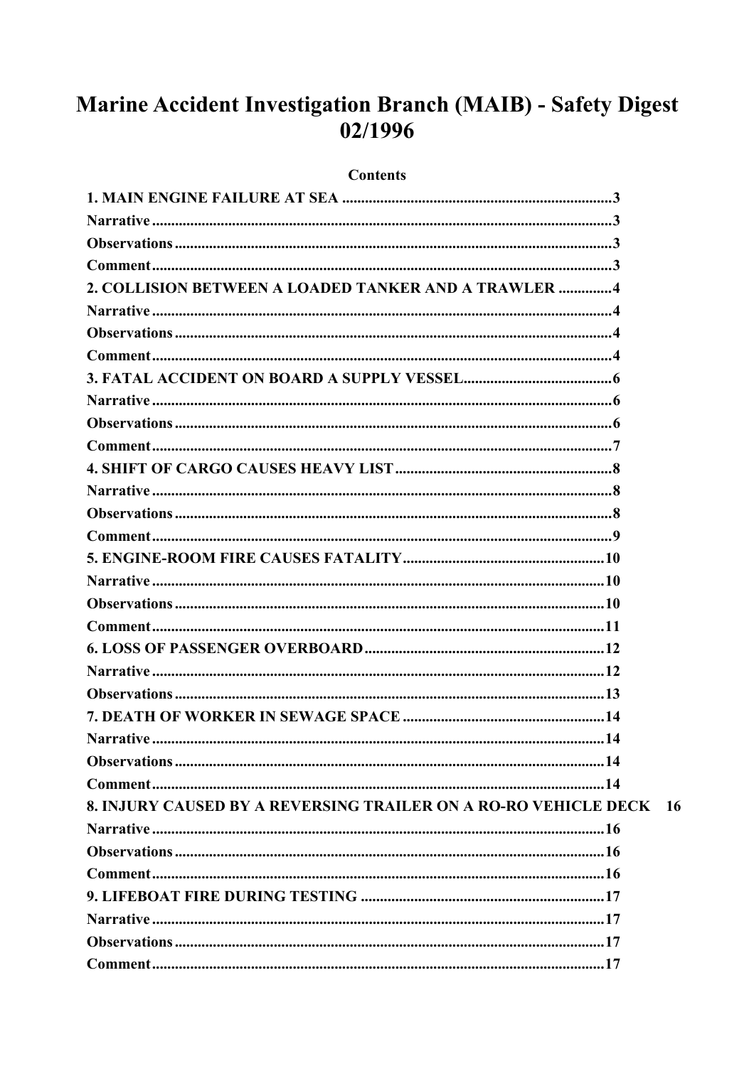# Marine Accident Investigation Branch (MAIB) - Safety Digest 02/1996

#### **Contents**

| 2. COLLISION BETWEEN A LOADED TANKER AND A TRAWLER 4            |     |
|-----------------------------------------------------------------|-----|
|                                                                 |     |
|                                                                 |     |
|                                                                 |     |
|                                                                 |     |
|                                                                 |     |
|                                                                 |     |
|                                                                 |     |
|                                                                 |     |
|                                                                 |     |
|                                                                 |     |
|                                                                 |     |
|                                                                 |     |
|                                                                 |     |
|                                                                 |     |
|                                                                 |     |
|                                                                 |     |
|                                                                 |     |
|                                                                 |     |
|                                                                 |     |
|                                                                 |     |
|                                                                 |     |
|                                                                 |     |
| 8. INJURY CAUSED BY A REVERSING TRAILER ON A RO-RO VEHICLE DECK | -16 |
|                                                                 |     |
|                                                                 |     |
|                                                                 |     |
|                                                                 |     |
|                                                                 |     |
|                                                                 |     |
|                                                                 |     |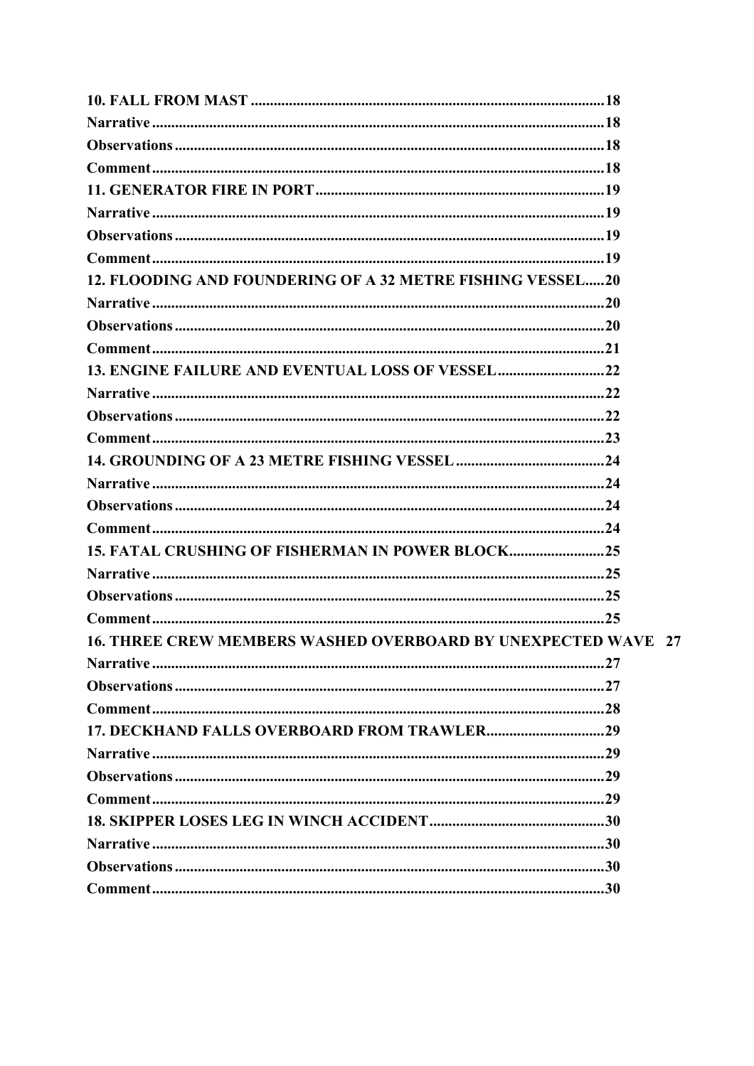| 12. FLOODING AND FOUNDERING OF A 32 METRE FISHING VESSEL20           |  |
|----------------------------------------------------------------------|--|
|                                                                      |  |
|                                                                      |  |
|                                                                      |  |
|                                                                      |  |
|                                                                      |  |
|                                                                      |  |
|                                                                      |  |
|                                                                      |  |
|                                                                      |  |
|                                                                      |  |
|                                                                      |  |
| 15. FATAL CRUSHING OF FISHERMAN IN POWER BLOCK                       |  |
|                                                                      |  |
|                                                                      |  |
|                                                                      |  |
| <b>16. THREE CREW MEMBERS WASHED OVERBOARD BY UNEXPECTED WAVE 27</b> |  |
|                                                                      |  |
|                                                                      |  |
|                                                                      |  |
|                                                                      |  |
|                                                                      |  |
|                                                                      |  |
|                                                                      |  |
|                                                                      |  |
|                                                                      |  |
|                                                                      |  |
|                                                                      |  |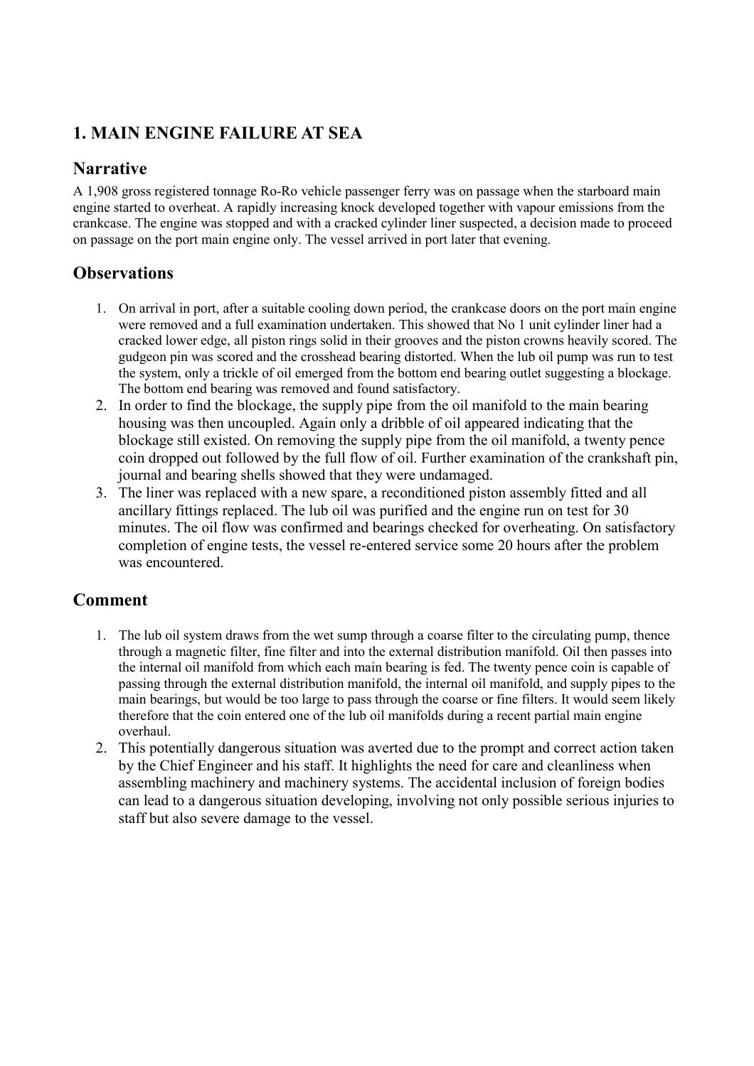# <span id="page-2-0"></span>**1. MAIN ENGINE FAILURE AT SEA**

# **Narrative**

A 1,908 gross registered tonnage Ro-Ro vehicle passenger ferry was on passage when the starboard main engine started to overheat. A rapidly increasing knock developed together with vapour emissions from the crankcase. The engine was stopped and with a cracked cylinder liner suspected, a decision made to proceed on passage on the port main engine only. The vessel arrived in port later that evening.

# **Observations**

- 1. On arrival in port, after a suitable cooling down period, the crankcase doors on the port main engine were removed and a full examination undertaken. This showed that No 1 unit cylinder liner had a cracked lower edge, all piston rings solid in their grooves and the piston crowns heavily scored. The gudgeon pin was scored and the crosshead bearing distorted. When the lub oil pump was run to test the system, only a trickle of oil emerged from the bottom end bearing outlet suggesting a blockage. The bottom end bearing was removed and found satisfactory.
- 2. In order to find the blockage, the supply pipe from the oil manifold to the main bearing housing was then uncoupled. Again only a dribble of oil appeared indicating that the blockage still existed. On removing the supply pipe from the oil manifold, a twenty pence coin dropped out followed by the full flow of oil. Further examination of the crankshaft pin, journal and bearing shells showed that they were undamaged.
- 3. The liner was replaced with a new spare, a reconditioned piston assembly fitted and all ancillary fittings replaced. The lub oil was purified and the engine run on test for 30 minutes. The oil flow was confirmed and bearings checked for overheating. On satisfactory completion of engine tests, the vessel re-entered service some 20 hours after the problem was encountered.

- 1. The lub oil system draws from the wet sump through a coarse filter to the circulating pump, thence through a magnetic filter, fine filter and into the external distribution manifold. Oil then passes into the internal oil manifold from which each main bearing is fed. The twenty pence coin is capable of passing through the external distribution manifold, the internal oil manifold, and supply pipes to the main bearings, but would be too large to pass through the coarse or fine filters. It would seem likely therefore that the coin entered one of the lub oil manifolds during a recent partial main engine overhaul.
- 2. This potentially dangerous situation was averted due to the prompt and correct action taken by the Chief Engineer and his staff. It highlights the need for care and cleanliness when assembling machinery and machinery systems. The accidental inclusion of foreign bodies can lead to a dangerous situation developing, involving not only possible serious injuries to staff but also severe damage to the vessel.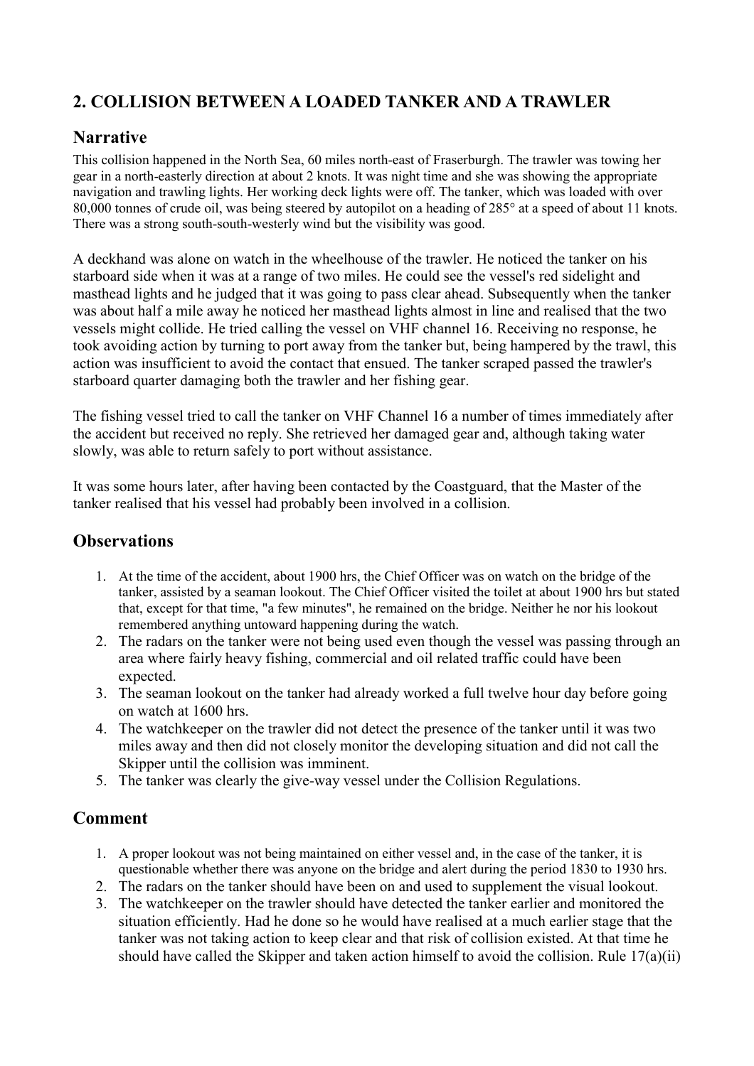# <span id="page-3-0"></span>**2. COLLISION BETWEEN A LOADED TANKER AND A TRAWLER**

#### **Narrative**

This collision happened in the North Sea, 60 miles north-east of Fraserburgh. The trawler was towing her gear in a north-easterly direction at about 2 knots. It was night time and she was showing the appropriate navigation and trawling lights. Her working deck lights were off. The tanker, which was loaded with over 80,000 tonnes of crude oil, was being steered by autopilot on a heading of 285° at a speed of about 11 knots. There was a strong south-south-westerly wind but the visibility was good.

A deckhand was alone on watch in the wheelhouse of the trawler. He noticed the tanker on his starboard side when it was at a range of two miles. He could see the vessel's red sidelight and masthead lights and he judged that it was going to pass clear ahead. Subsequently when the tanker was about half a mile away he noticed her masthead lights almost in line and realised that the two vessels might collide. He tried calling the vessel on VHF channel 16. Receiving no response, he took avoiding action by turning to port away from the tanker but, being hampered by the trawl, this action was insufficient to avoid the contact that ensued. The tanker scraped passed the trawler's starboard quarter damaging both the trawler and her fishing gear.

The fishing vessel tried to call the tanker on VHF Channel 16 a number of times immediately after the accident but received no reply. She retrieved her damaged gear and, although taking water slowly, was able to return safely to port without assistance.

It was some hours later, after having been contacted by the Coastguard, that the Master of the tanker realised that his vessel had probably been involved in a collision.

# **Observations**

- 1. At the time of the accident, about 1900 hrs, the Chief Officer was on watch on the bridge of the tanker, assisted by a seaman lookout. The Chief Officer visited the toilet at about 1900 hrs but stated that, except for that time, "a few minutes", he remained on the bridge. Neither he nor his lookout remembered anything untoward happening during the watch.
- 2. The radars on the tanker were not being used even though the vessel was passing through an area where fairly heavy fishing, commercial and oil related traffic could have been expected.
- 3. The seaman lookout on the tanker had already worked a full twelve hour day before going on watch at 1600 hrs.
- 4. The watchkeeper on the trawler did not detect the presence of the tanker until it was two miles away and then did not closely monitor the developing situation and did not call the Skipper until the collision was imminent.
- 5. The tanker was clearly the give-way vessel under the Collision Regulations.

- 1. A proper lookout was not being maintained on either vessel and, in the case of the tanker, it is questionable whether there was anyone on the bridge and alert during the period 1830 to 1930 hrs.
- 2. The radars on the tanker should have been on and used to supplement the visual lookout.
- 3. The watchkeeper on the trawler should have detected the tanker earlier and monitored the situation efficiently. Had he done so he would have realised at a much earlier stage that the tanker was not taking action to keep clear and that risk of collision existed. At that time he should have called the Skipper and taken action himself to avoid the collision. Rule 17(a)(ii)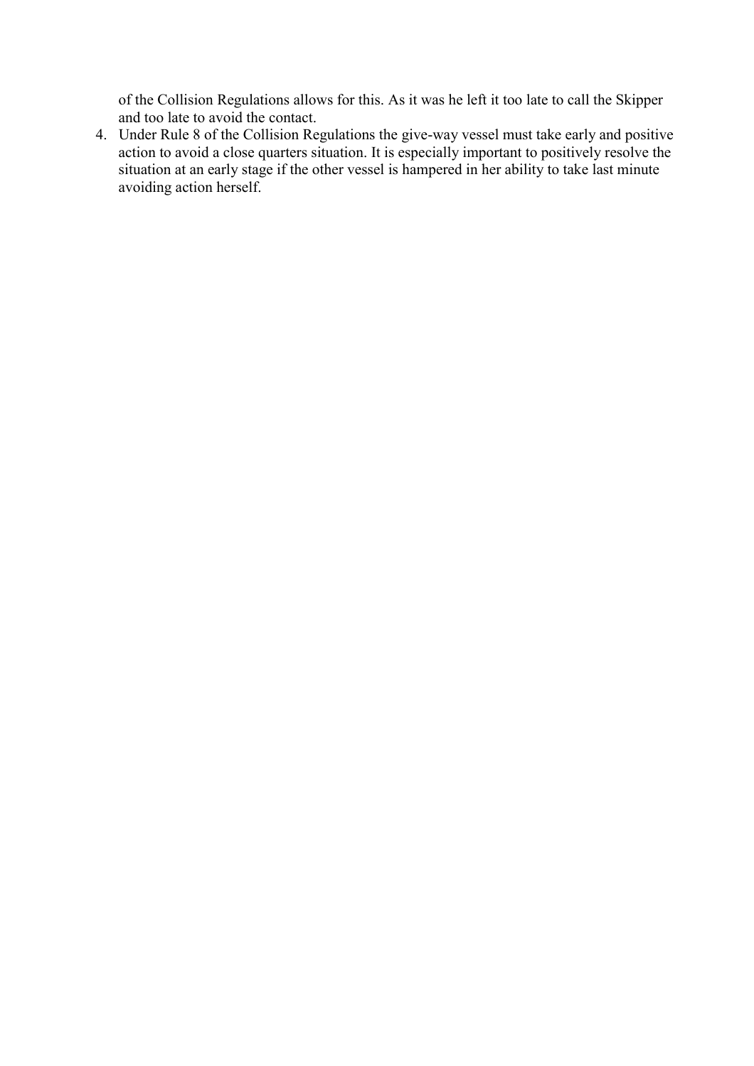of the Collision Regulations allows for this. As it was he left it too late to call the Skipper and too late to avoid the contact.

4. Under Rule 8 of the Collision Regulations the give-way vessel must take early and positive action to avoid a close quarters situation. It is especially important to positively resolve the situation at an early stage if the other vessel is hampered in her ability to take last minute avoiding action herself.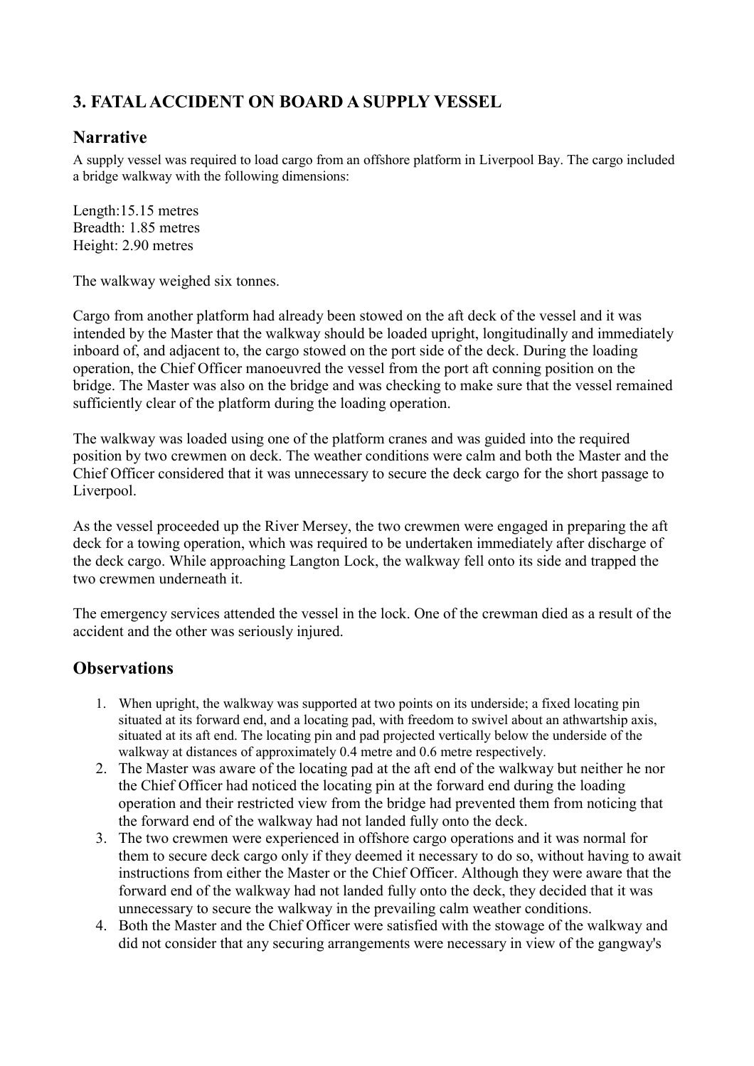# <span id="page-5-0"></span>**3. FATAL ACCIDENT ON BOARD A SUPPLY VESSEL**

#### **Narrative**

A supply vessel was required to load cargo from an offshore platform in Liverpool Bay. The cargo included a bridge walkway with the following dimensions:

Length:15.15 metres Breadth: 1.85 metres Height: 2.90 metres

The walkway weighed six tonnes.

Cargo from another platform had already been stowed on the aft deck of the vessel and it was intended by the Master that the walkway should be loaded upright, longitudinally and immediately inboard of, and adjacent to, the cargo stowed on the port side of the deck. During the loading operation, the Chief Officer manoeuvred the vessel from the port aft conning position on the bridge. The Master was also on the bridge and was checking to make sure that the vessel remained sufficiently clear of the platform during the loading operation.

The walkway was loaded using one of the platform cranes and was guided into the required position by two crewmen on deck. The weather conditions were calm and both the Master and the Chief Officer considered that it was unnecessary to secure the deck cargo for the short passage to Liverpool.

As the vessel proceeded up the River Mersey, the two crewmen were engaged in preparing the aft deck for a towing operation, which was required to be undertaken immediately after discharge of the deck cargo. While approaching Langton Lock, the walkway fell onto its side and trapped the two crewmen underneath it.

The emergency services attended the vessel in the lock. One of the crewman died as a result of the accident and the other was seriously injured.

- 1. When upright, the walkway was supported at two points on its underside; a fixed locating pin situated at its forward end, and a locating pad, with freedom to swivel about an athwartship axis, situated at its aft end. The locating pin and pad projected vertically below the underside of the walkway at distances of approximately 0.4 metre and 0.6 metre respectively.
- 2. The Master was aware of the locating pad at the aft end of the walkway but neither he nor the Chief Officer had noticed the locating pin at the forward end during the loading operation and their restricted view from the bridge had prevented them from noticing that the forward end of the walkway had not landed fully onto the deck.
- 3. The two crewmen were experienced in offshore cargo operations and it was normal for them to secure deck cargo only if they deemed it necessary to do so, without having to await instructions from either the Master or the Chief Officer. Although they were aware that the forward end of the walkway had not landed fully onto the deck, they decided that it was unnecessary to secure the walkway in the prevailing calm weather conditions.
- 4. Both the Master and the Chief Officer were satisfied with the stowage of the walkway and did not consider that any securing arrangements were necessary in view of the gangway's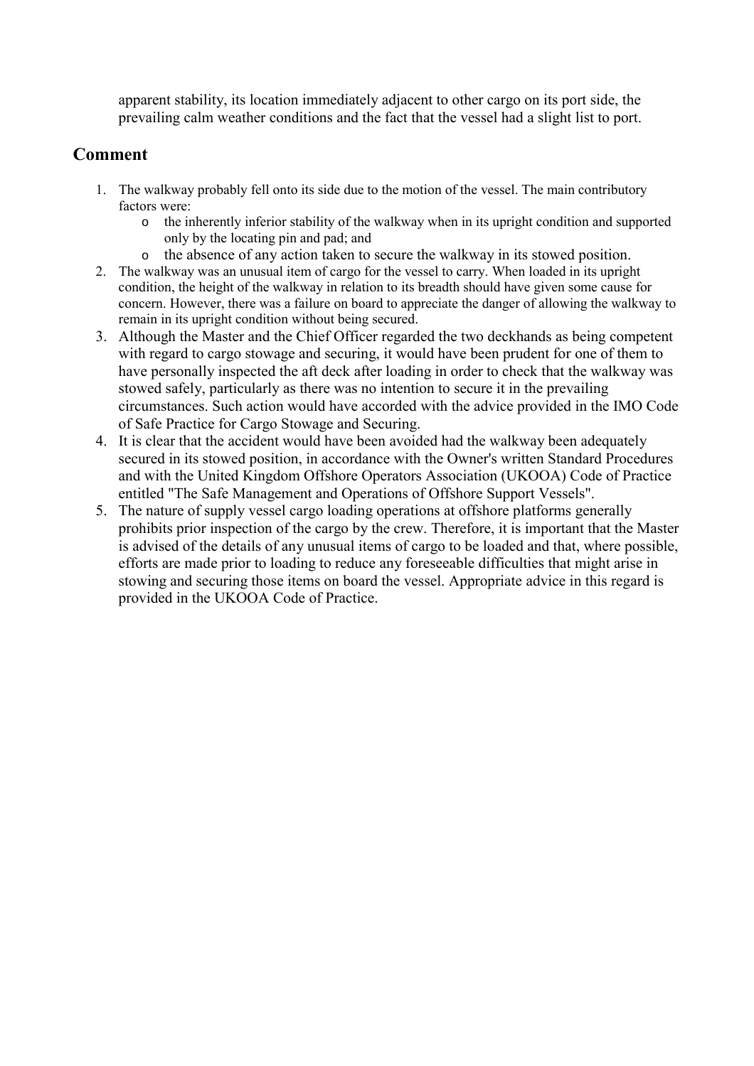<span id="page-6-0"></span>apparent stability, its location immediately adjacent to other cargo on its port side, the prevailing calm weather conditions and the fact that the vessel had a slight list to port.

- 1. The walkway probably fell onto its side due to the motion of the vessel. The main contributory factors were:
	- o the inherently inferior stability of the walkway when in its upright condition and supported only by the locating pin and pad; and
	- o the absence of any action taken to secure the walkway in its stowed position.
- 2. The walkway was an unusual item of cargo for the vessel to carry. When loaded in its upright condition, the height of the walkway in relation to its breadth should have given some cause for concern. However, there was a failure on board to appreciate the danger of allowing the walkway to remain in its upright condition without being secured.
- 3. Although the Master and the Chief Officer regarded the two deckhands as being competent with regard to cargo stowage and securing, it would have been prudent for one of them to have personally inspected the aft deck after loading in order to check that the walkway was stowed safely, particularly as there was no intention to secure it in the prevailing circumstances. Such action would have accorded with the advice provided in the IMO Code of Safe Practice for Cargo Stowage and Securing.
- 4. It is clear that the accident would have been avoided had the walkway been adequately secured in its stowed position, in accordance with the Owner's written Standard Procedures and with the United Kingdom Offshore Operators Association (UKOOA) Code of Practice entitled "The Safe Management and Operations of Offshore Support Vessels".
- 5. The nature of supply vessel cargo loading operations at offshore platforms generally prohibits prior inspection of the cargo by the crew. Therefore, it is important that the Master is advised of the details of any unusual items of cargo to be loaded and that, where possible, efforts are made prior to loading to reduce any foreseeable difficulties that might arise in stowing and securing those items on board the vessel. Appropriate advice in this regard is provided in the UKOOA Code of Practice.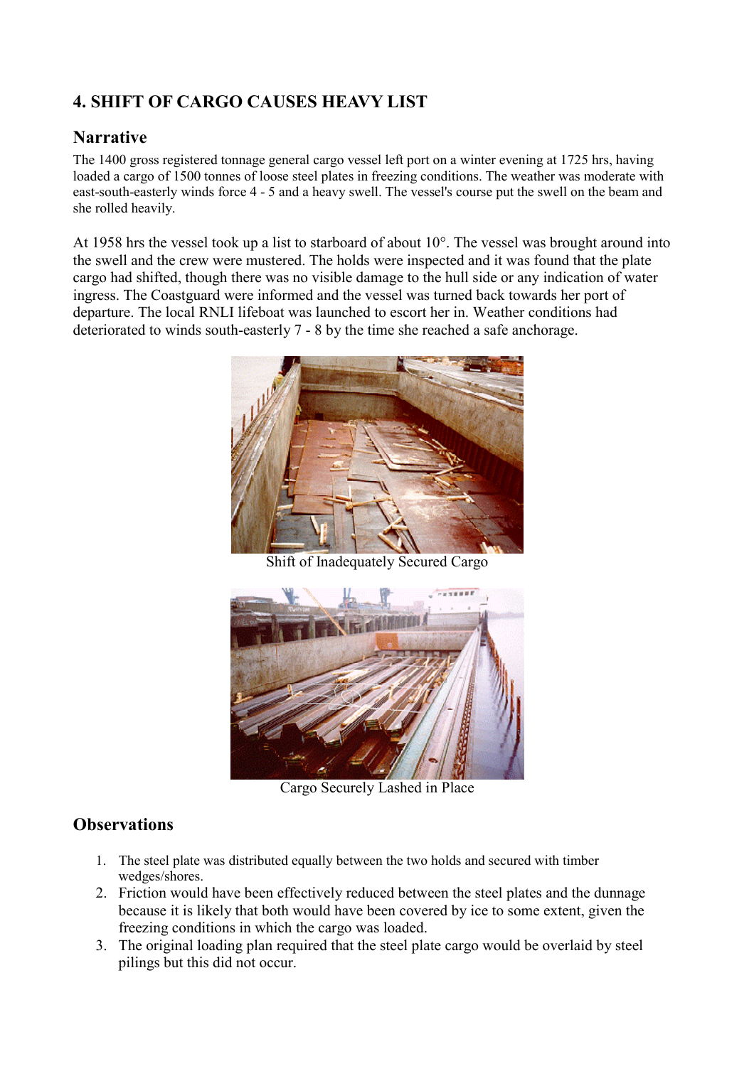# <span id="page-7-0"></span>**4. SHIFT OF CARGO CAUSES HEAVY LIST**

# **Narrative**

The 1400 gross registered tonnage general cargo vessel left port on a winter evening at 1725 hrs, having loaded a cargo of 1500 tonnes of loose steel plates in freezing conditions. The weather was moderate with east-south-easterly winds force 4 - 5 and a heavy swell. The vessel's course put the swell on the beam and she rolled heavily.

At 1958 hrs the vessel took up a list to starboard of about 10°. The vessel was brought around into the swell and the crew were mustered. The holds were inspected and it was found that the plate cargo had shifted, though there was no visible damage to the hull side or any indication of water ingress. The Coastguard were informed and the vessel was turned back towards her port of departure. The local RNLI lifeboat was launched to escort her in. Weather conditions had deteriorated to winds south-easterly 7 - 8 by the time she reached a safe anchorage.



Shift of Inadequately Secured Cargo



Cargo Securely Lashed in Place

- 1. The steel plate was distributed equally between the two holds and secured with timber wedges/shores.
- 2. Friction would have been effectively reduced between the steel plates and the dunnage because it is likely that both would have been covered by ice to some extent, given the freezing conditions in which the cargo was loaded.
- 3. The original loading plan required that the steel plate cargo would be overlaid by steel pilings but this did not occur.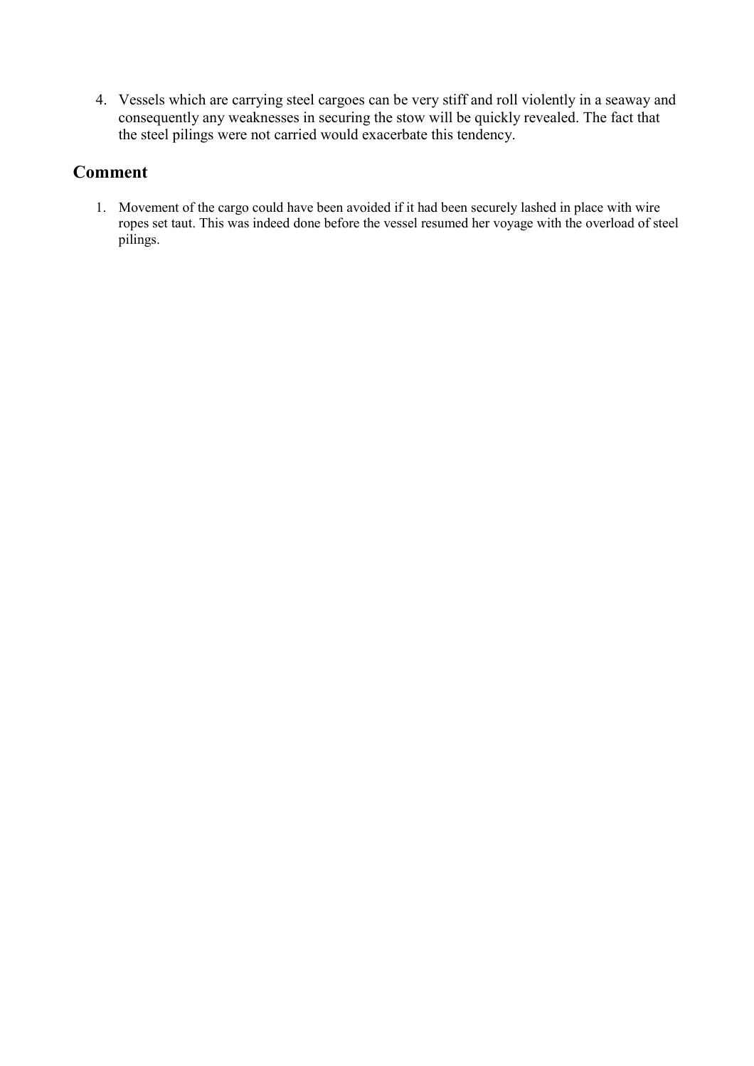<span id="page-8-0"></span>4. Vessels which are carrying steel cargoes can be very stiff and roll violently in a seaway and consequently any weaknesses in securing the stow will be quickly revealed. The fact that the steel pilings were not carried would exacerbate this tendency.

# **Comment**

1. Movement of the cargo could have been avoided if it had been securely lashed in place with wire ropes set taut. This was indeed done before the vessel resumed her voyage with the overload of steel pilings.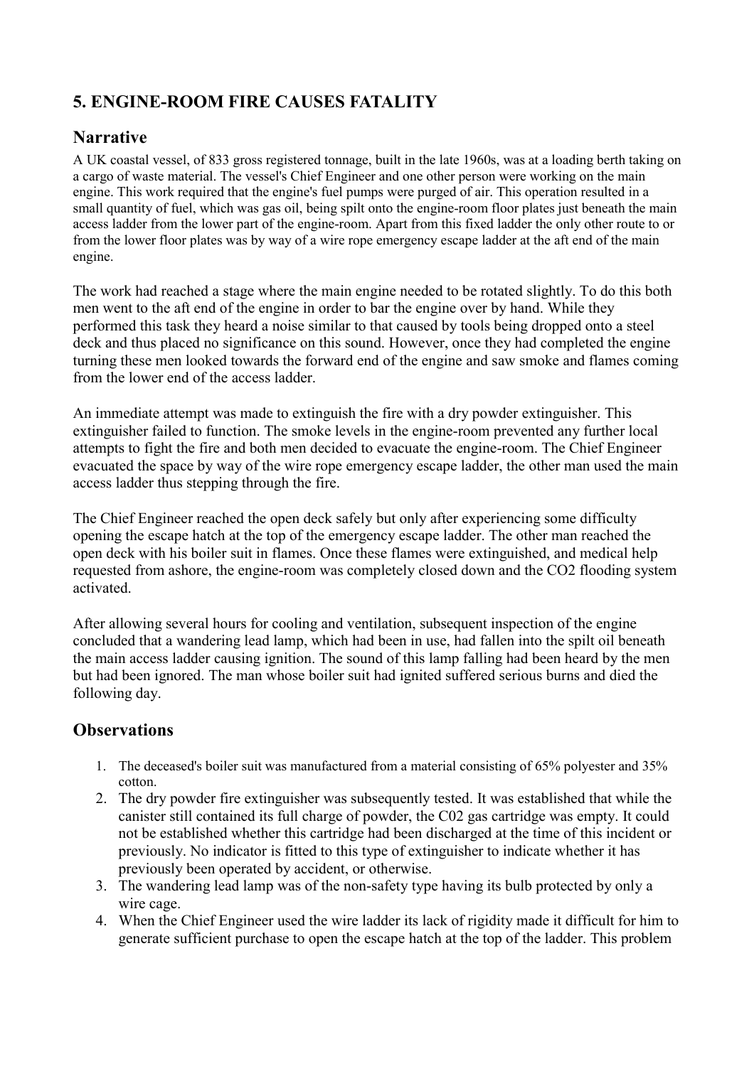# <span id="page-9-0"></span>**5. ENGINE-ROOM FIRE CAUSES FATALITY**

# **Narrative**

A UK coastal vessel, of 833 gross registered tonnage, built in the late 1960s, was at a loading berth taking on a cargo of waste material. The vessel's Chief Engineer and one other person were working on the main engine. This work required that the engine's fuel pumps were purged of air. This operation resulted in a small quantity of fuel, which was gas oil, being spilt onto the engine-room floor plates just beneath the main access ladder from the lower part of the engine-room. Apart from this fixed ladder the only other route to or from the lower floor plates was by way of a wire rope emergency escape ladder at the aft end of the main engine.

The work had reached a stage where the main engine needed to be rotated slightly. To do this both men went to the aft end of the engine in order to bar the engine over by hand. While they performed this task they heard a noise similar to that caused by tools being dropped onto a steel deck and thus placed no significance on this sound. However, once they had completed the engine turning these men looked towards the forward end of the engine and saw smoke and flames coming from the lower end of the access ladder.

An immediate attempt was made to extinguish the fire with a dry powder extinguisher. This extinguisher failed to function. The smoke levels in the engine-room prevented any further local attempts to fight the fire and both men decided to evacuate the engine-room. The Chief Engineer evacuated the space by way of the wire rope emergency escape ladder, the other man used the main access ladder thus stepping through the fire.

The Chief Engineer reached the open deck safely but only after experiencing some difficulty opening the escape hatch at the top of the emergency escape ladder. The other man reached the open deck with his boiler suit in flames. Once these flames were extinguished, and medical help requested from ashore, the engine-room was completely closed down and the CO2 flooding system activated.

After allowing several hours for cooling and ventilation, subsequent inspection of the engine concluded that a wandering lead lamp, which had been in use, had fallen into the spilt oil beneath the main access ladder causing ignition. The sound of this lamp falling had been heard by the men but had been ignored. The man whose boiler suit had ignited suffered serious burns and died the following day.

- 1. The deceased's boiler suit was manufactured from a material consisting of 65% polyester and 35% cotton.
- 2. The dry powder fire extinguisher was subsequently tested. It was established that while the canister still contained its full charge of powder, the C02 gas cartridge was empty. It could not be established whether this cartridge had been discharged at the time of this incident or previously. No indicator is fitted to this type of extinguisher to indicate whether it has previously been operated by accident, or otherwise.
- 3. The wandering lead lamp was of the non-safety type having its bulb protected by only a wire cage.
- 4. When the Chief Engineer used the wire ladder its lack of rigidity made it difficult for him to generate sufficient purchase to open the escape hatch at the top of the ladder. This problem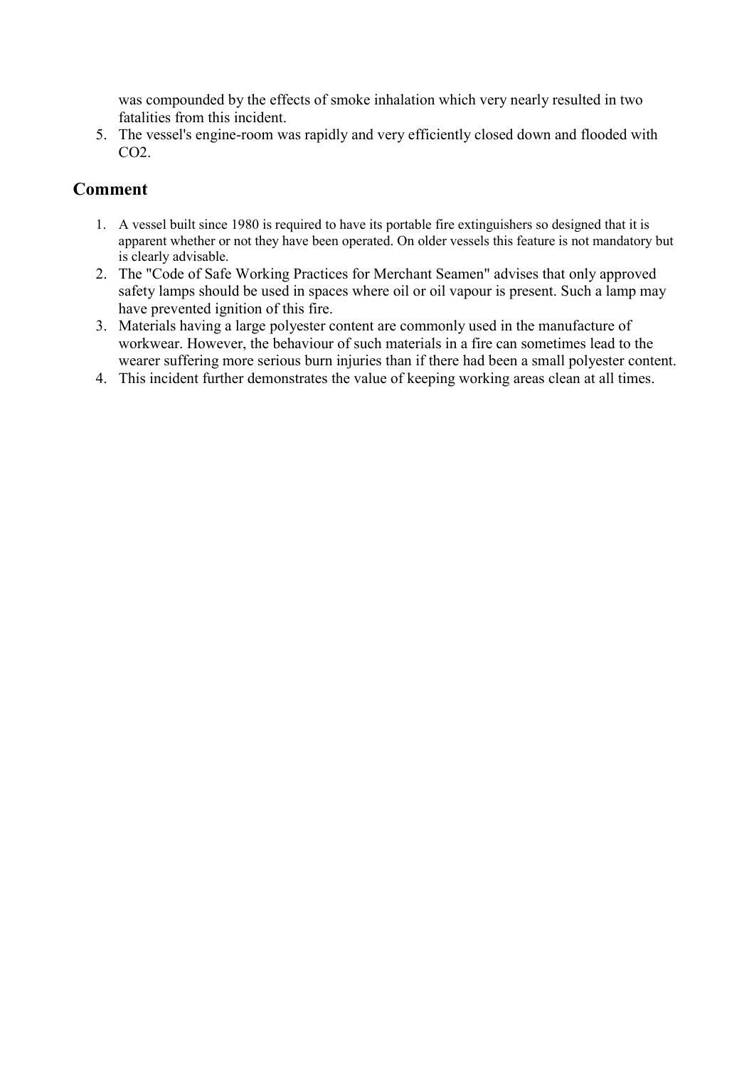<span id="page-10-0"></span>was compounded by the effects of smoke inhalation which very nearly resulted in two fatalities from this incident.

5. The vessel's engine-room was rapidly and very efficiently closed down and flooded with CO2.

- 1. A vessel built since 1980 is required to have its portable fire extinguishers so designed that it is apparent whether or not they have been operated. On older vessels this feature is not mandatory but is clearly advisable.
- 2. The "Code of Safe Working Practices for Merchant Seamen" advises that only approved safety lamps should be used in spaces where oil or oil vapour is present. Such a lamp may have prevented ignition of this fire.
- 3. Materials having a large polyester content are commonly used in the manufacture of workwear. However, the behaviour of such materials in a fire can sometimes lead to the wearer suffering more serious burn injuries than if there had been a small polyester content.
- 4. This incident further demonstrates the value of keeping working areas clean at all times.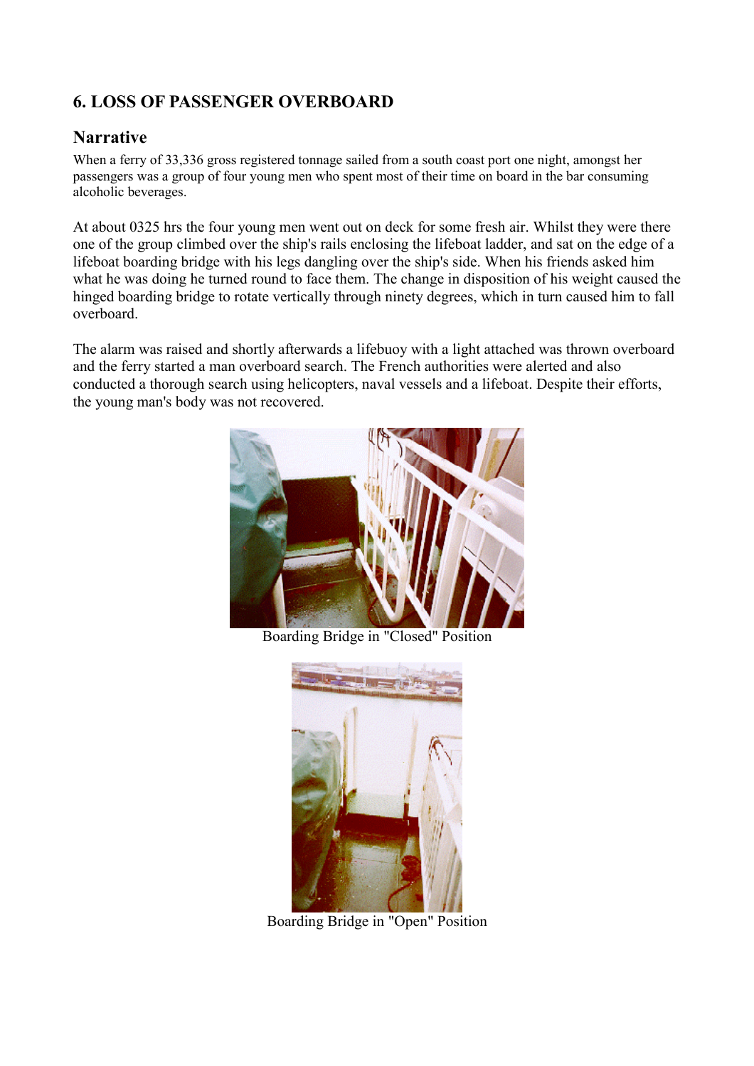# <span id="page-11-0"></span>**6. LOSS OF PASSENGER OVERBOARD**

### **Narrative**

When a ferry of 33,336 gross registered tonnage sailed from a south coast port one night, amongst her passengers was a group of four young men who spent most of their time on board in the bar consuming alcoholic beverages.

At about 0325 hrs the four young men went out on deck for some fresh air. Whilst they were there one of the group climbed over the ship's rails enclosing the lifeboat ladder, and sat on the edge of a lifeboat boarding bridge with his legs dangling over the ship's side. When his friends asked him what he was doing he turned round to face them. The change in disposition of his weight caused the hinged boarding bridge to rotate vertically through ninety degrees, which in turn caused him to fall overboard.

The alarm was raised and shortly afterwards a lifebuoy with a light attached was thrown overboard and the ferry started a man overboard search. The French authorities were alerted and also conducted a thorough search using helicopters, naval vessels and a lifeboat. Despite their efforts, the young man's body was not recovered.



Boarding Bridge in "Closed" Position



Boarding Bridge in "Open" Position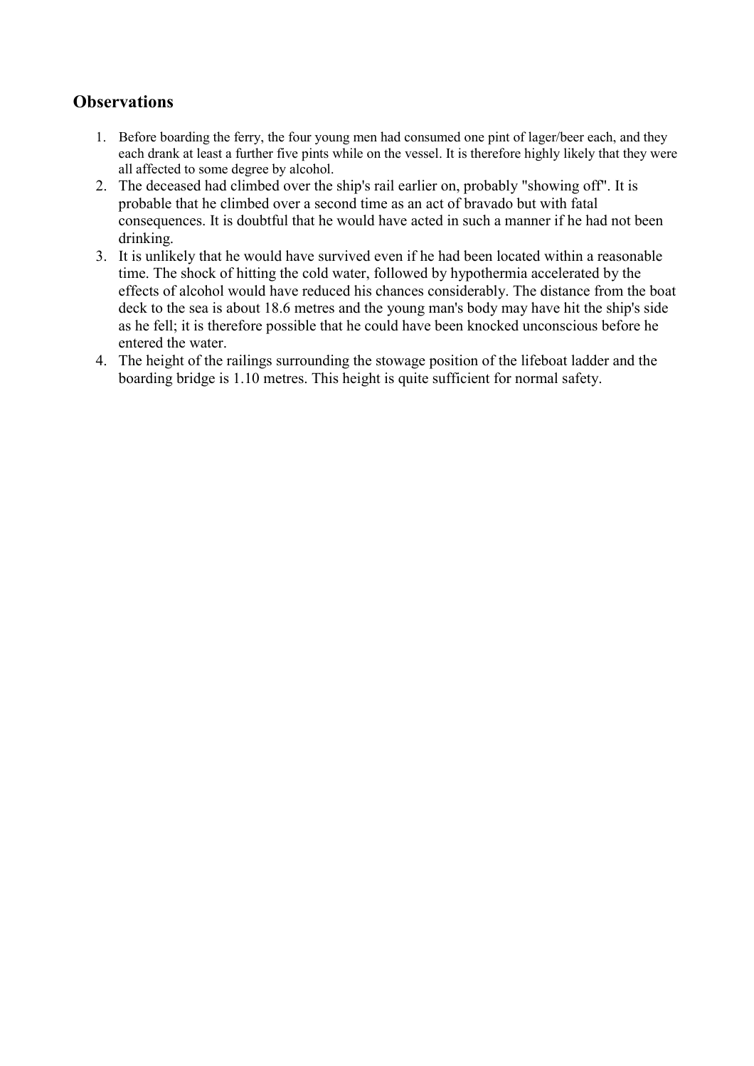- <span id="page-12-0"></span>1. Before boarding the ferry, the four young men had consumed one pint of lager/beer each, and they each drank at least a further five pints while on the vessel. It is therefore highly likely that they were all affected to some degree by alcohol.
- 2. The deceased had climbed over the ship's rail earlier on, probably "showing off". It is probable that he climbed over a second time as an act of bravado but with fatal consequences. It is doubtful that he would have acted in such a manner if he had not been drinking.
- 3. It is unlikely that he would have survived even if he had been located within a reasonable time. The shock of hitting the cold water, followed by hypothermia accelerated by the effects of alcohol would have reduced his chances considerably. The distance from the boat deck to the sea is about 18.6 metres and the young man's body may have hit the ship's side as he fell; it is therefore possible that he could have been knocked unconscious before he entered the water.
- 4. The height of the railings surrounding the stowage position of the lifeboat ladder and the boarding bridge is 1.10 metres. This height is quite sufficient for normal safety.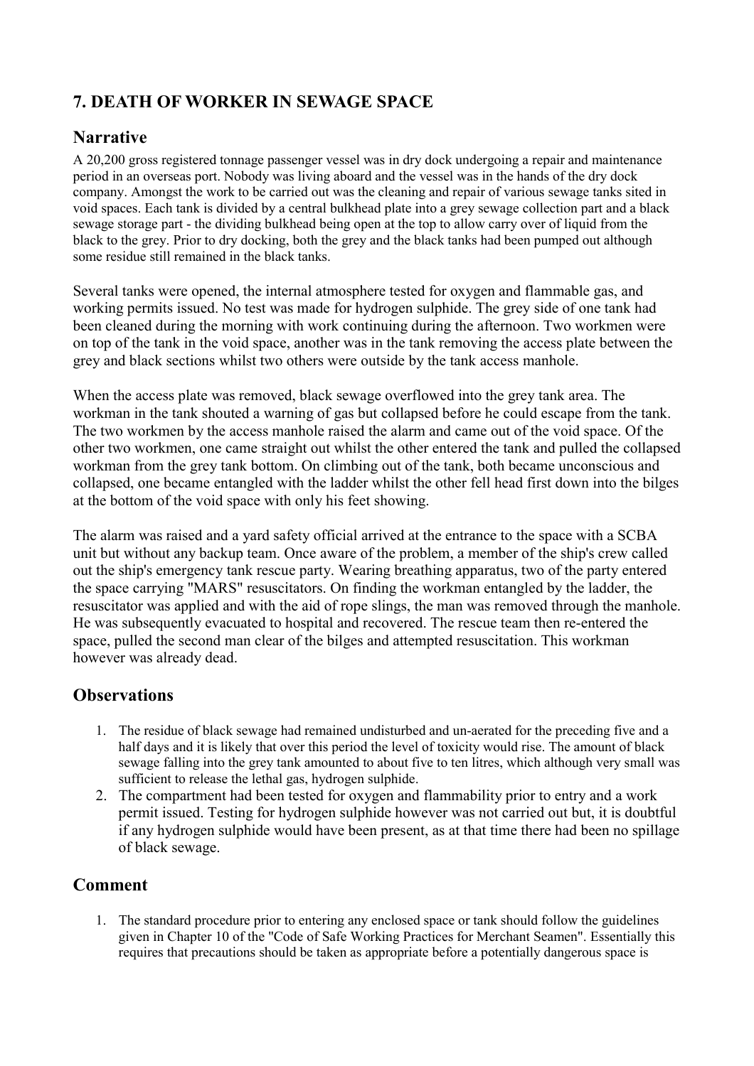# <span id="page-13-0"></span>**7. DEATH OF WORKER IN SEWAGE SPACE**

# **Narrative**

A 20,200 gross registered tonnage passenger vessel was in dry dock undergoing a repair and maintenance period in an overseas port. Nobody was living aboard and the vessel was in the hands of the dry dock company. Amongst the work to be carried out was the cleaning and repair of various sewage tanks sited in void spaces. Each tank is divided by a central bulkhead plate into a grey sewage collection part and a black sewage storage part - the dividing bulkhead being open at the top to allow carry over of liquid from the black to the grey. Prior to dry docking, both the grey and the black tanks had been pumped out although some residue still remained in the black tanks.

Several tanks were opened, the internal atmosphere tested for oxygen and flammable gas, and working permits issued. No test was made for hydrogen sulphide. The grey side of one tank had been cleaned during the morning with work continuing during the afternoon. Two workmen were on top of the tank in the void space, another was in the tank removing the access plate between the grey and black sections whilst two others were outside by the tank access manhole.

When the access plate was removed, black sewage overflowed into the grey tank area. The workman in the tank shouted a warning of gas but collapsed before he could escape from the tank. The two workmen by the access manhole raised the alarm and came out of the void space. Of the other two workmen, one came straight out whilst the other entered the tank and pulled the collapsed workman from the grey tank bottom. On climbing out of the tank, both became unconscious and collapsed, one became entangled with the ladder whilst the other fell head first down into the bilges at the bottom of the void space with only his feet showing.

The alarm was raised and a yard safety official arrived at the entrance to the space with a SCBA unit but without any backup team. Once aware of the problem, a member of the ship's crew called out the ship's emergency tank rescue party. Wearing breathing apparatus, two of the party entered the space carrying "MARS" resuscitators. On finding the workman entangled by the ladder, the resuscitator was applied and with the aid of rope slings, the man was removed through the manhole. He was subsequently evacuated to hospital and recovered. The rescue team then re-entered the space, pulled the second man clear of the bilges and attempted resuscitation. This workman however was already dead.

# **Observations**

- 1. The residue of black sewage had remained undisturbed and un-aerated for the preceding five and a half days and it is likely that over this period the level of toxicity would rise. The amount of black sewage falling into the grey tank amounted to about five to ten litres, which although very small was sufficient to release the lethal gas, hydrogen sulphide.
- 2. The compartment had been tested for oxygen and flammability prior to entry and a work permit issued. Testing for hydrogen sulphide however was not carried out but, it is doubtful if any hydrogen sulphide would have been present, as at that time there had been no spillage of black sewage.

# **Comment**

1. The standard procedure prior to entering any enclosed space or tank should follow the guidelines given in Chapter 10 of the "Code of Safe Working Practices for Merchant Seamen". Essentially this requires that precautions should be taken as appropriate before a potentially dangerous space is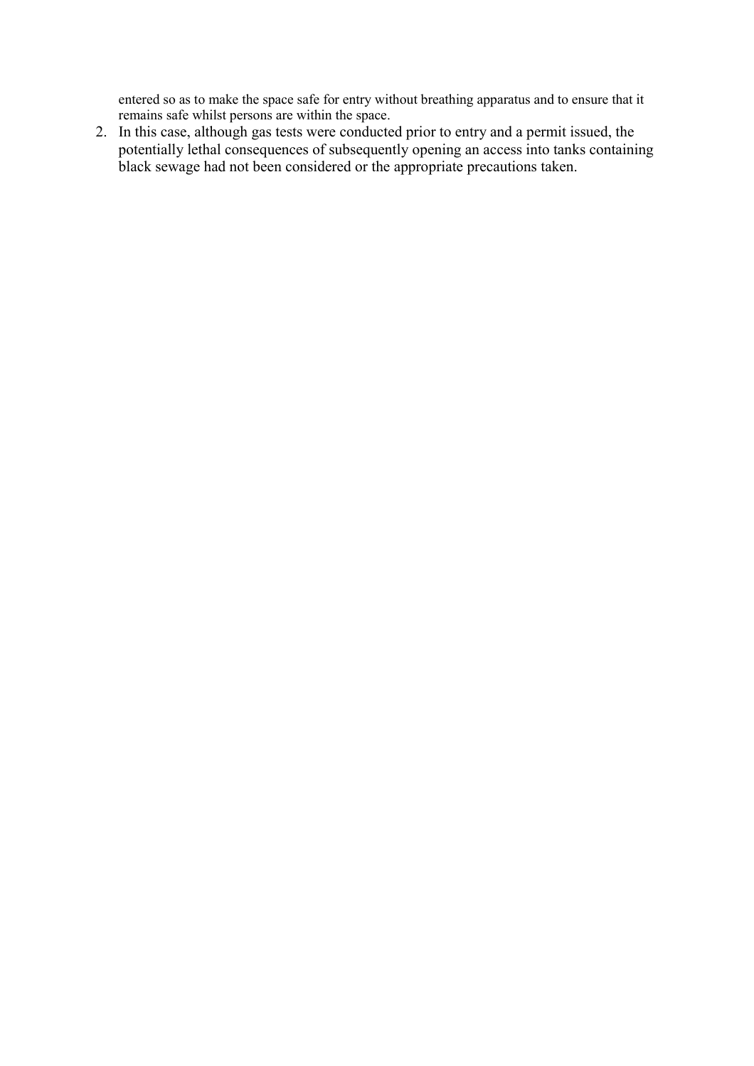entered so as to make the space safe for entry without breathing apparatus and to ensure that it remains safe whilst persons are within the space.

2. In this case, although gas tests were conducted prior to entry and a permit issued, the potentially lethal consequences of subsequently opening an access into tanks containing black sewage had not been considered or the appropriate precautions taken.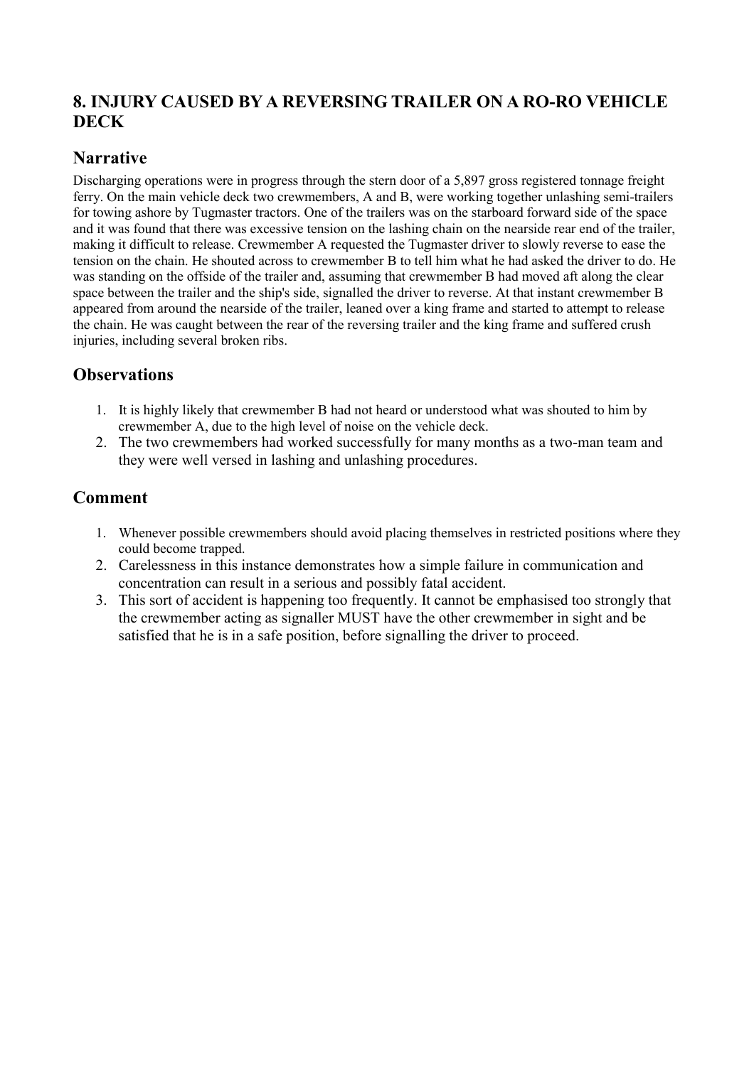# <span id="page-15-0"></span>**8. INJURY CAUSED BY A REVERSING TRAILER ON A RO-RO VEHICLE DECK**

# **Narrative**

Discharging operations were in progress through the stern door of a 5,897 gross registered tonnage freight ferry. On the main vehicle deck two crewmembers, A and B, were working together unlashing semi-trailers for towing ashore by Tugmaster tractors. One of the trailers was on the starboard forward side of the space and it was found that there was excessive tension on the lashing chain on the nearside rear end of the trailer, making it difficult to release. Crewmember A requested the Tugmaster driver to slowly reverse to ease the tension on the chain. He shouted across to crewmember B to tell him what he had asked the driver to do. He was standing on the offside of the trailer and, assuming that crewmember B had moved aft along the clear space between the trailer and the ship's side, signalled the driver to reverse. At that instant crewmember B appeared from around the nearside of the trailer, leaned over a king frame and started to attempt to release the chain. He was caught between the rear of the reversing trailer and the king frame and suffered crush injuries, including several broken ribs.

# **Observations**

- 1. It is highly likely that crewmember B had not heard or understood what was shouted to him by crewmember A, due to the high level of noise on the vehicle deck.
- 2. The two crewmembers had worked successfully for many months as a two-man team and they were well versed in lashing and unlashing procedures.

- 1. Whenever possible crewmembers should avoid placing themselves in restricted positions where they could become trapped.
- 2. Carelessness in this instance demonstrates how a simple failure in communication and concentration can result in a serious and possibly fatal accident.
- 3. This sort of accident is happening too frequently. It cannot be emphasised too strongly that the crewmember acting as signaller MUST have the other crewmember in sight and be satisfied that he is in a safe position, before signalling the driver to proceed.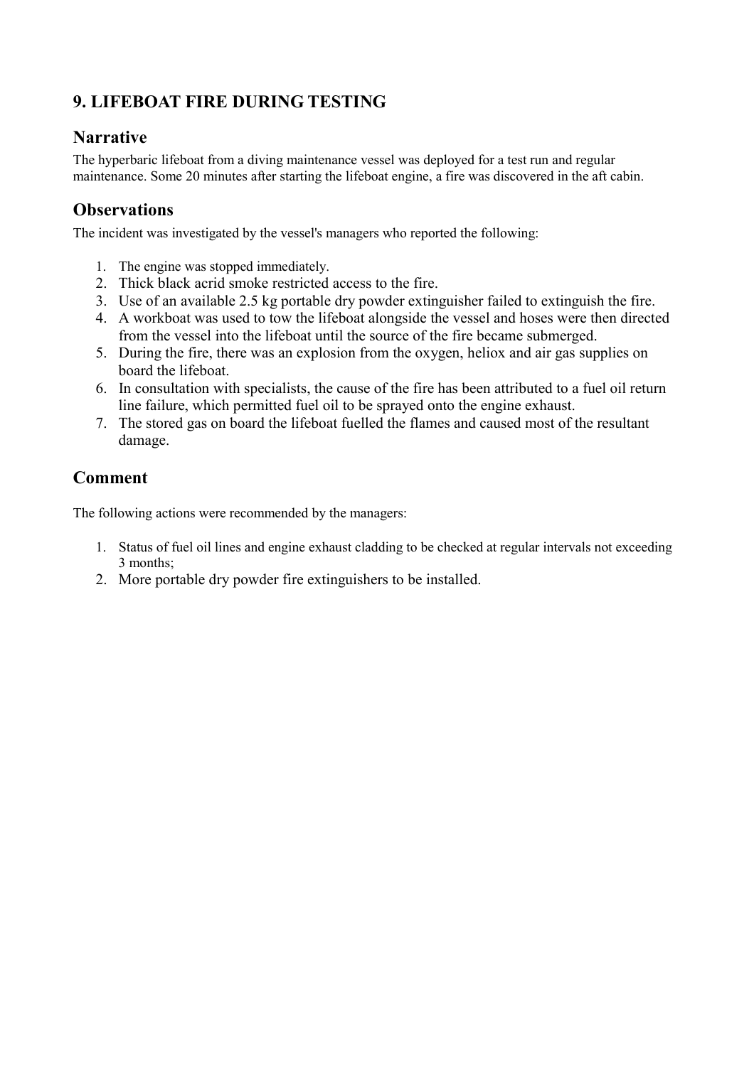# <span id="page-16-0"></span>**9. LIFEBOAT FIRE DURING TESTING**

### **Narrative**

The hyperbaric lifeboat from a diving maintenance vessel was deployed for a test run and regular maintenance. Some 20 minutes after starting the lifeboat engine, a fire was discovered in the aft cabin.

# **Observations**

The incident was investigated by the vessel's managers who reported the following:

- 1. The engine was stopped immediately.
- 2. Thick black acrid smoke restricted access to the fire.
- 3. Use of an available 2.5 kg portable dry powder extinguisher failed to extinguish the fire.
- 4. A workboat was used to tow the lifeboat alongside the vessel and hoses were then directed from the vessel into the lifeboat until the source of the fire became submerged.
- 5. During the fire, there was an explosion from the oxygen, heliox and air gas supplies on board the lifeboat.
- 6. In consultation with specialists, the cause of the fire has been attributed to a fuel oil return line failure, which permitted fuel oil to be sprayed onto the engine exhaust.
- 7. The stored gas on board the lifeboat fuelled the flames and caused most of the resultant damage.

# **Comment**

The following actions were recommended by the managers:

- 1. Status of fuel oil lines and engine exhaust cladding to be checked at regular intervals not exceeding 3 months;
- 2. More portable dry powder fire extinguishers to be installed.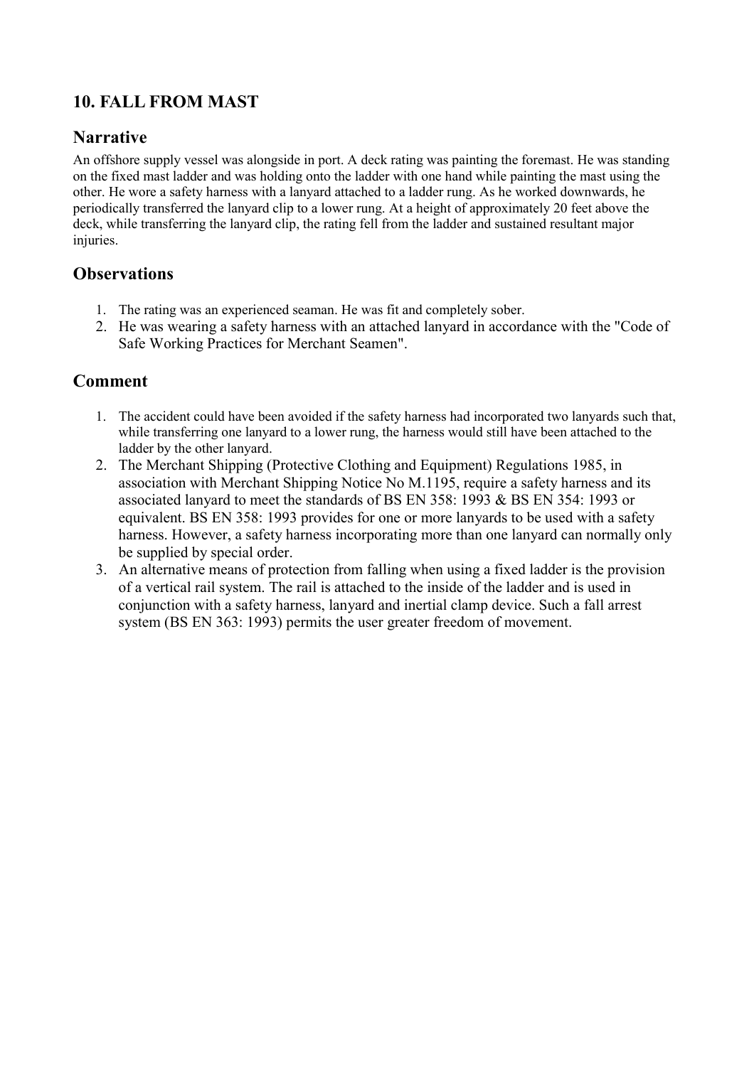# <span id="page-17-0"></span>**10. FALL FROM MAST**

#### **Narrative**

An offshore supply vessel was alongside in port. A deck rating was painting the foremast. He was standing on the fixed mast ladder and was holding onto the ladder with one hand while painting the mast using the other. He wore a safety harness with a lanyard attached to a ladder rung. As he worked downwards, he periodically transferred the lanyard clip to a lower rung. At a height of approximately 20 feet above the deck, while transferring the lanyard clip, the rating fell from the ladder and sustained resultant major injuries.

### **Observations**

- 1. The rating was an experienced seaman. He was fit and completely sober.
- 2. He was wearing a safety harness with an attached lanyard in accordance with the "Code of Safe Working Practices for Merchant Seamen".

- 1. The accident could have been avoided if the safety harness had incorporated two lanyards such that, while transferring one lanyard to a lower rung, the harness would still have been attached to the ladder by the other lanyard.
- 2. The Merchant Shipping (Protective Clothing and Equipment) Regulations 1985, in association with Merchant Shipping Notice No M.1195, require a safety harness and its associated lanyard to meet the standards of BS EN 358: 1993 & BS EN 354: 1993 or equivalent. BS EN 358: 1993 provides for one or more lanyards to be used with a safety harness. However, a safety harness incorporating more than one lanyard can normally only be supplied by special order.
- 3. An alternative means of protection from falling when using a fixed ladder is the provision of a vertical rail system. The rail is attached to the inside of the ladder and is used in conjunction with a safety harness, lanyard and inertial clamp device. Such a fall arrest system (BS EN 363: 1993) permits the user greater freedom of movement.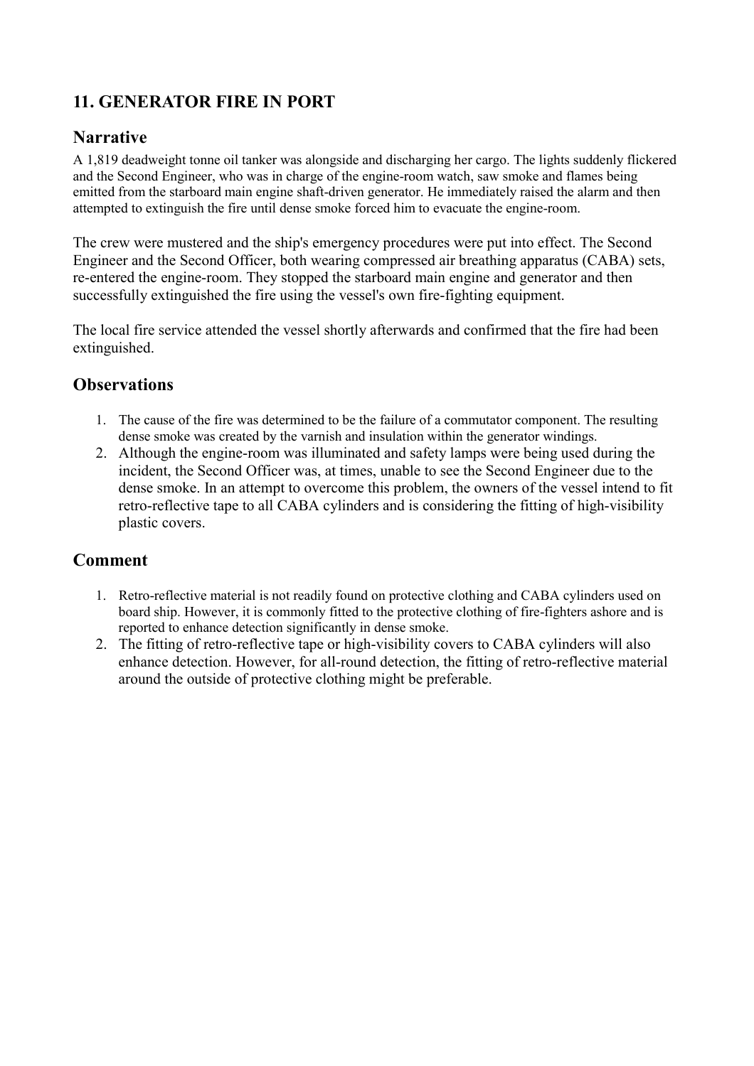# <span id="page-18-0"></span>**11. GENERATOR FIRE IN PORT**

### **Narrative**

A 1,819 deadweight tonne oil tanker was alongside and discharging her cargo. The lights suddenly flickered and the Second Engineer, who was in charge of the engine-room watch, saw smoke and flames being emitted from the starboard main engine shaft-driven generator. He immediately raised the alarm and then attempted to extinguish the fire until dense smoke forced him to evacuate the engine-room.

The crew were mustered and the ship's emergency procedures were put into effect. The Second Engineer and the Second Officer, both wearing compressed air breathing apparatus (CABA) sets, re-entered the engine-room. They stopped the starboard main engine and generator and then successfully extinguished the fire using the vessel's own fire-fighting equipment.

The local fire service attended the vessel shortly afterwards and confirmed that the fire had been extinguished.

#### **Observations**

- 1. The cause of the fire was determined to be the failure of a commutator component. The resulting dense smoke was created by the varnish and insulation within the generator windings.
- 2. Although the engine-room was illuminated and safety lamps were being used during the incident, the Second Officer was, at times, unable to see the Second Engineer due to the dense smoke. In an attempt to overcome this problem, the owners of the vessel intend to fit retro-reflective tape to all CABA cylinders and is considering the fitting of high-visibility plastic covers.

- 1. Retro-reflective material is not readily found on protective clothing and CABA cylinders used on board ship. However, it is commonly fitted to the protective clothing of fire-fighters ashore and is reported to enhance detection significantly in dense smoke.
- 2. The fitting of retro-reflective tape or high-visibility covers to CABA cylinders will also enhance detection. However, for all-round detection, the fitting of retro-reflective material around the outside of protective clothing might be preferable.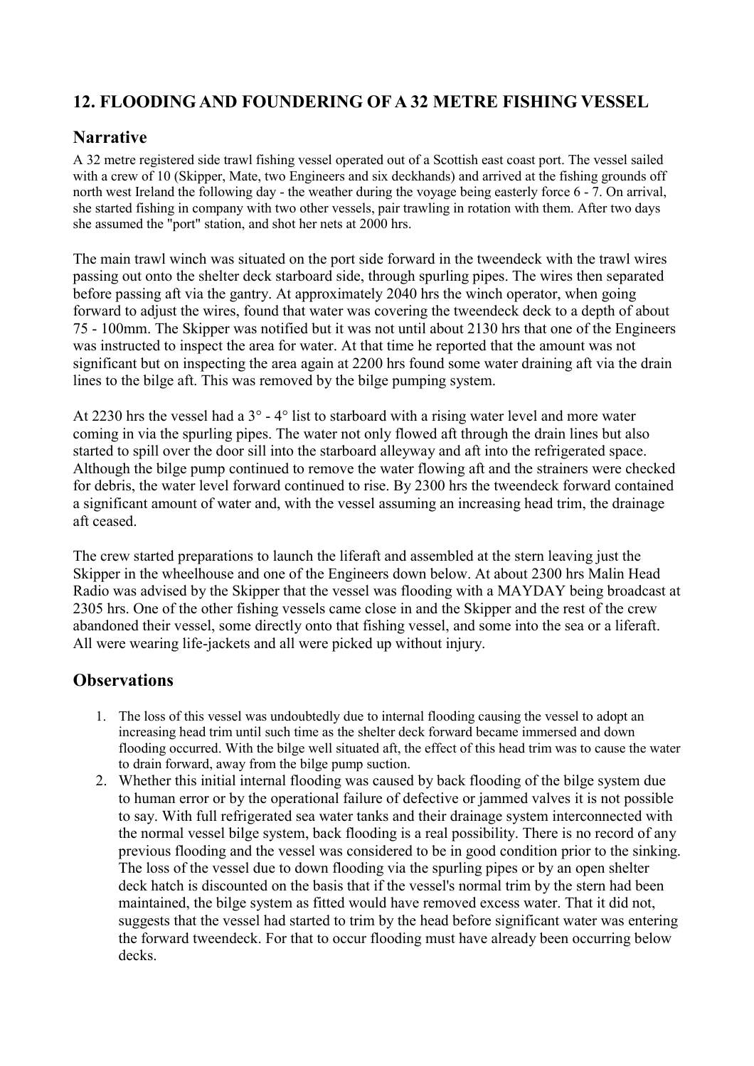# <span id="page-19-0"></span>**12. FLOODING AND FOUNDERING OF A 32 METRE FISHING VESSEL**

### **Narrative**

A 32 metre registered side trawl fishing vessel operated out of a Scottish east coast port. The vessel sailed with a crew of 10 (Skipper, Mate, two Engineers and six deckhands) and arrived at the fishing grounds off north west Ireland the following day - the weather during the voyage being easterly force 6 - 7. On arrival, she started fishing in company with two other vessels, pair trawling in rotation with them. After two days she assumed the "port" station, and shot her nets at 2000 hrs.

The main trawl winch was situated on the port side forward in the tweendeck with the trawl wires passing out onto the shelter deck starboard side, through spurling pipes. The wires then separated before passing aft via the gantry. At approximately 2040 hrs the winch operator, when going forward to adjust the wires, found that water was covering the tweendeck deck to a depth of about 75 - 100mm. The Skipper was notified but it was not until about 2130 hrs that one of the Engineers was instructed to inspect the area for water. At that time he reported that the amount was not significant but on inspecting the area again at 2200 hrs found some water draining aft via the drain lines to the bilge aft. This was removed by the bilge pumping system.

At 2230 hrs the vessel had a 3° - 4° list to starboard with a rising water level and more water coming in via the spurling pipes. The water not only flowed aft through the drain lines but also started to spill over the door sill into the starboard alleyway and aft into the refrigerated space. Although the bilge pump continued to remove the water flowing aft and the strainers were checked for debris, the water level forward continued to rise. By 2300 hrs the tweendeck forward contained a significant amount of water and, with the vessel assuming an increasing head trim, the drainage aft ceased.

The crew started preparations to launch the liferaft and assembled at the stern leaving just the Skipper in the wheelhouse and one of the Engineers down below. At about 2300 hrs Malin Head Radio was advised by the Skipper that the vessel was flooding with a MAYDAY being broadcast at 2305 hrs. One of the other fishing vessels came close in and the Skipper and the rest of the crew abandoned their vessel, some directly onto that fishing vessel, and some into the sea or a liferaft. All were wearing life-jackets and all were picked up without injury.

- 1. The loss of this vessel was undoubtedly due to internal flooding causing the vessel to adopt an increasing head trim until such time as the shelter deck forward became immersed and down flooding occurred. With the bilge well situated aft, the effect of this head trim was to cause the water to drain forward, away from the bilge pump suction.
- 2. Whether this initial internal flooding was caused by back flooding of the bilge system due to human error or by the operational failure of defective or jammed valves it is not possible to say. With full refrigerated sea water tanks and their drainage system interconnected with the normal vessel bilge system, back flooding is a real possibility. There is no record of any previous flooding and the vessel was considered to be in good condition prior to the sinking. The loss of the vessel due to down flooding via the spurling pipes or by an open shelter deck hatch is discounted on the basis that if the vessel's normal trim by the stern had been maintained, the bilge system as fitted would have removed excess water. That it did not, suggests that the vessel had started to trim by the head before significant water was entering the forward tweendeck. For that to occur flooding must have already been occurring below decks.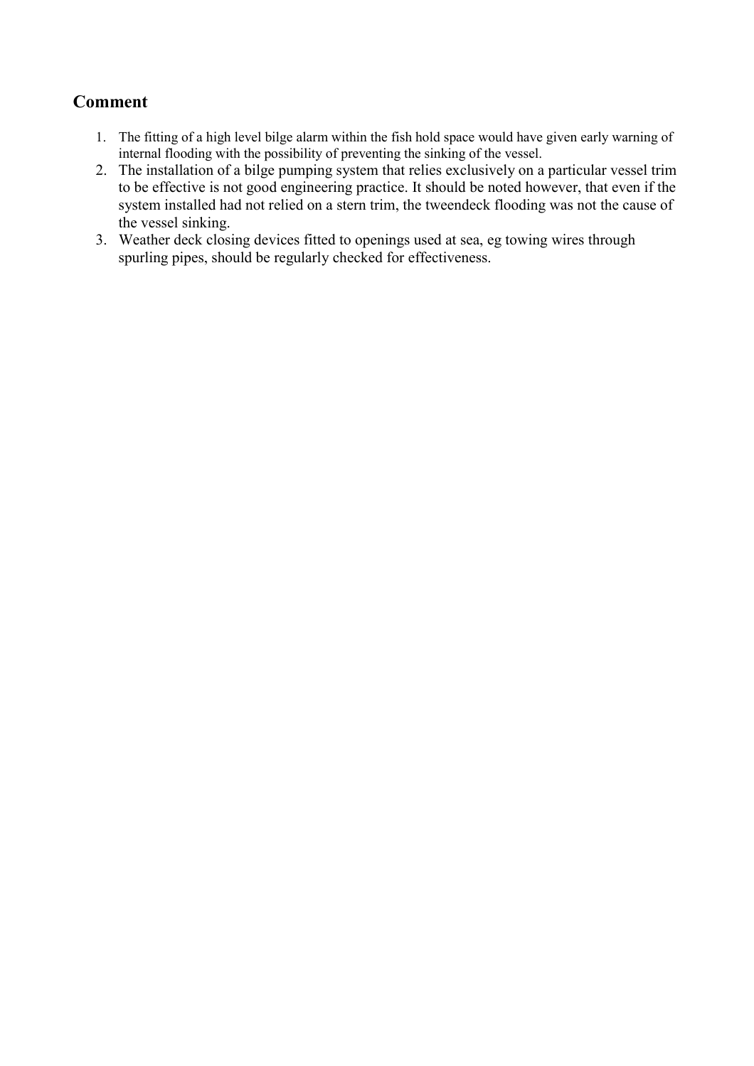- <span id="page-20-0"></span>1. The fitting of a high level bilge alarm within the fish hold space would have given early warning of internal flooding with the possibility of preventing the sinking of the vessel.
- 2. The installation of a bilge pumping system that relies exclusively on a particular vessel trim to be effective is not good engineering practice. It should be noted however, that even if the system installed had not relied on a stern trim, the tweendeck flooding was not the cause of the vessel sinking.
- 3. Weather deck closing devices fitted to openings used at sea, eg towing wires through spurling pipes, should be regularly checked for effectiveness.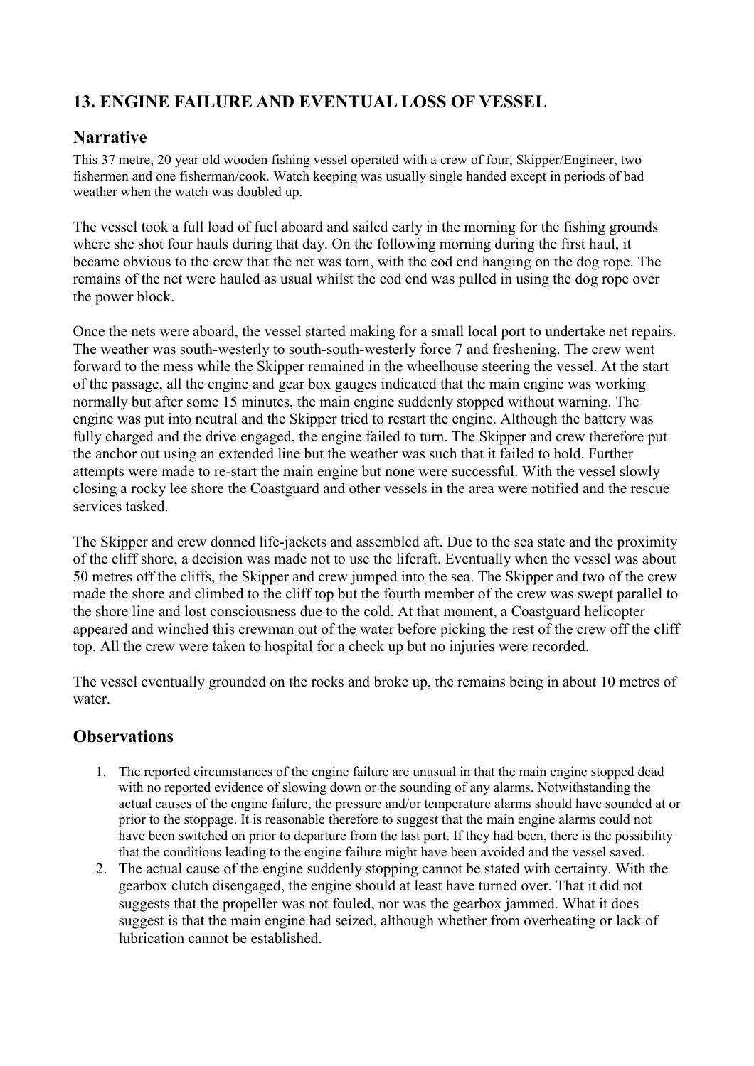# <span id="page-21-0"></span>**13. ENGINE FAILURE AND EVENTUAL LOSS OF VESSEL**

### **Narrative**

This 37 metre, 20 year old wooden fishing vessel operated with a crew of four, Skipper/Engineer, two fishermen and one fisherman/cook. Watch keeping was usually single handed except in periods of bad weather when the watch was doubled up.

The vessel took a full load of fuel aboard and sailed early in the morning for the fishing grounds where she shot four hauls during that day. On the following morning during the first haul, it became obvious to the crew that the net was torn, with the cod end hanging on the dog rope. The remains of the net were hauled as usual whilst the cod end was pulled in using the dog rope over the power block.

Once the nets were aboard, the vessel started making for a small local port to undertake net repairs. The weather was south-westerly to south-south-westerly force 7 and freshening. The crew went forward to the mess while the Skipper remained in the wheelhouse steering the vessel. At the start of the passage, all the engine and gear box gauges indicated that the main engine was working normally but after some 15 minutes, the main engine suddenly stopped without warning. The engine was put into neutral and the Skipper tried to restart the engine. Although the battery was fully charged and the drive engaged, the engine failed to turn. The Skipper and crew therefore put the anchor out using an extended line but the weather was such that it failed to hold. Further attempts were made to re-start the main engine but none were successful. With the vessel slowly closing a rocky lee shore the Coastguard and other vessels in the area were notified and the rescue services tasked.

The Skipper and crew donned life-jackets and assembled aft. Due to the sea state and the proximity of the cliff shore, a decision was made not to use the liferaft. Eventually when the vessel was about 50 metres off the cliffs, the Skipper and crew jumped into the sea. The Skipper and two of the crew made the shore and climbed to the cliff top but the fourth member of the crew was swept parallel to the shore line and lost consciousness due to the cold. At that moment, a Coastguard helicopter appeared and winched this crewman out of the water before picking the rest of the crew off the cliff top. All the crew were taken to hospital for a check up but no injuries were recorded.

The vessel eventually grounded on the rocks and broke up, the remains being in about 10 metres of water.

- 1. The reported circumstances of the engine failure are unusual in that the main engine stopped dead with no reported evidence of slowing down or the sounding of any alarms. Notwithstanding the actual causes of the engine failure, the pressure and/or temperature alarms should have sounded at or prior to the stoppage. It is reasonable therefore to suggest that the main engine alarms could not have been switched on prior to departure from the last port. If they had been, there is the possibility that the conditions leading to the engine failure might have been avoided and the vessel saved.
- 2. The actual cause of the engine suddenly stopping cannot be stated with certainty. With the gearbox clutch disengaged, the engine should at least have turned over. That it did not suggests that the propeller was not fouled, nor was the gearbox jammed. What it does suggest is that the main engine had seized, although whether from overheating or lack of lubrication cannot be established.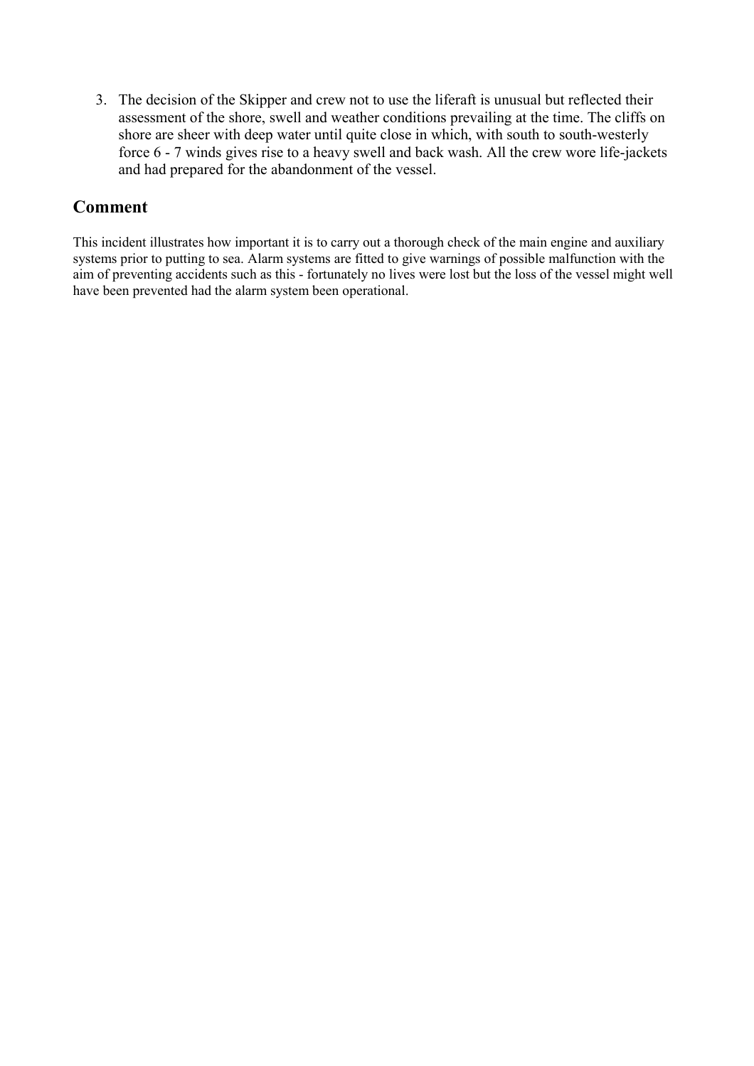<span id="page-22-0"></span>3. The decision of the Skipper and crew not to use the liferaft is unusual but reflected their assessment of the shore, swell and weather conditions prevailing at the time. The cliffs on shore are sheer with deep water until quite close in which, with south to south-westerly force 6 - 7 winds gives rise to a heavy swell and back wash. All the crew wore life-jackets and had prepared for the abandonment of the vessel.

#### **Comment**

This incident illustrates how important it is to carry out a thorough check of the main engine and auxiliary systems prior to putting to sea. Alarm systems are fitted to give warnings of possible malfunction with the aim of preventing accidents such as this - fortunately no lives were lost but the loss of the vessel might well have been prevented had the alarm system been operational.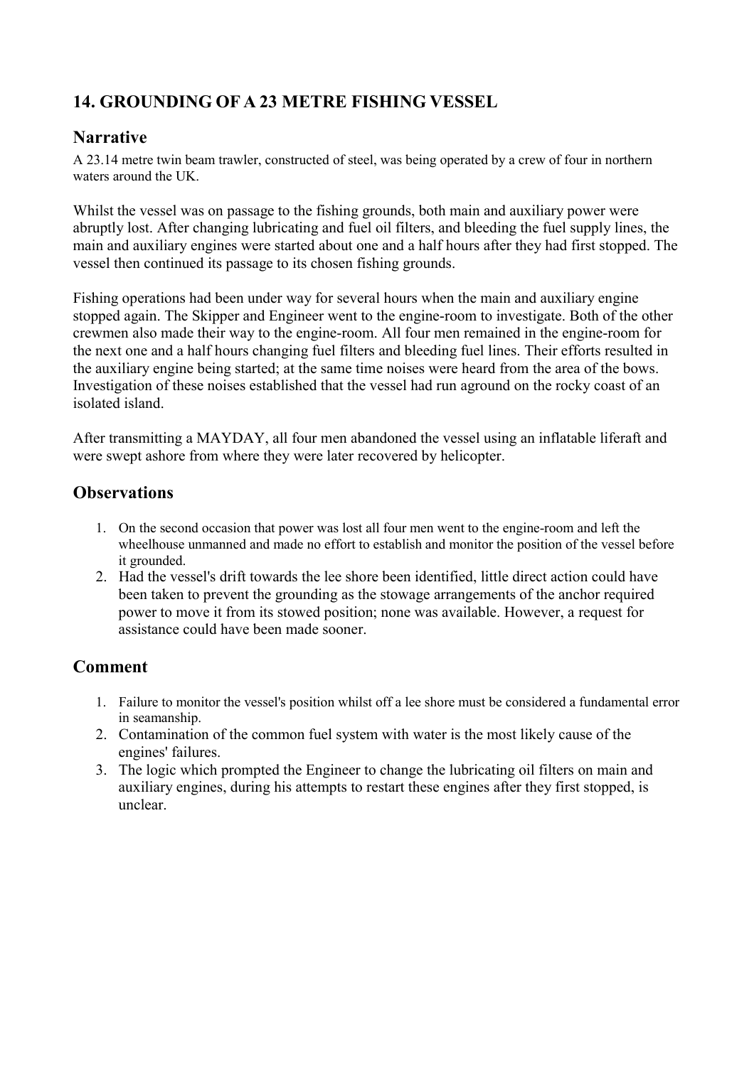# <span id="page-23-0"></span>**14. GROUNDING OF A 23 METRE FISHING VESSEL**

### **Narrative**

A 23.14 metre twin beam trawler, constructed of steel, was being operated by a crew of four in northern waters around the UK

Whilst the vessel was on passage to the fishing grounds, both main and auxiliary power were abruptly lost. After changing lubricating and fuel oil filters, and bleeding the fuel supply lines, the main and auxiliary engines were started about one and a half hours after they had first stopped. The vessel then continued its passage to its chosen fishing grounds.

Fishing operations had been under way for several hours when the main and auxiliary engine stopped again. The Skipper and Engineer went to the engine-room to investigate. Both of the other crewmen also made their way to the engine-room. All four men remained in the engine-room for the next one and a half hours changing fuel filters and bleeding fuel lines. Their efforts resulted in the auxiliary engine being started; at the same time noises were heard from the area of the bows. Investigation of these noises established that the vessel had run aground on the rocky coast of an isolated island.

After transmitting a MAYDAY, all four men abandoned the vessel using an inflatable liferaft and were swept ashore from where they were later recovered by helicopter.

# **Observations**

- 1. On the second occasion that power was lost all four men went to the engine-room and left the wheelhouse unmanned and made no effort to establish and monitor the position of the vessel before it grounded.
- 2. Had the vessel's drift towards the lee shore been identified, little direct action could have been taken to prevent the grounding as the stowage arrangements of the anchor required power to move it from its stowed position; none was available. However, a request for assistance could have been made sooner.

- 1. Failure to monitor the vessel's position whilst off a lee shore must be considered a fundamental error in seamanship.
- 2. Contamination of the common fuel system with water is the most likely cause of the engines' failures.
- 3. The logic which prompted the Engineer to change the lubricating oil filters on main and auxiliary engines, during his attempts to restart these engines after they first stopped, is unclear.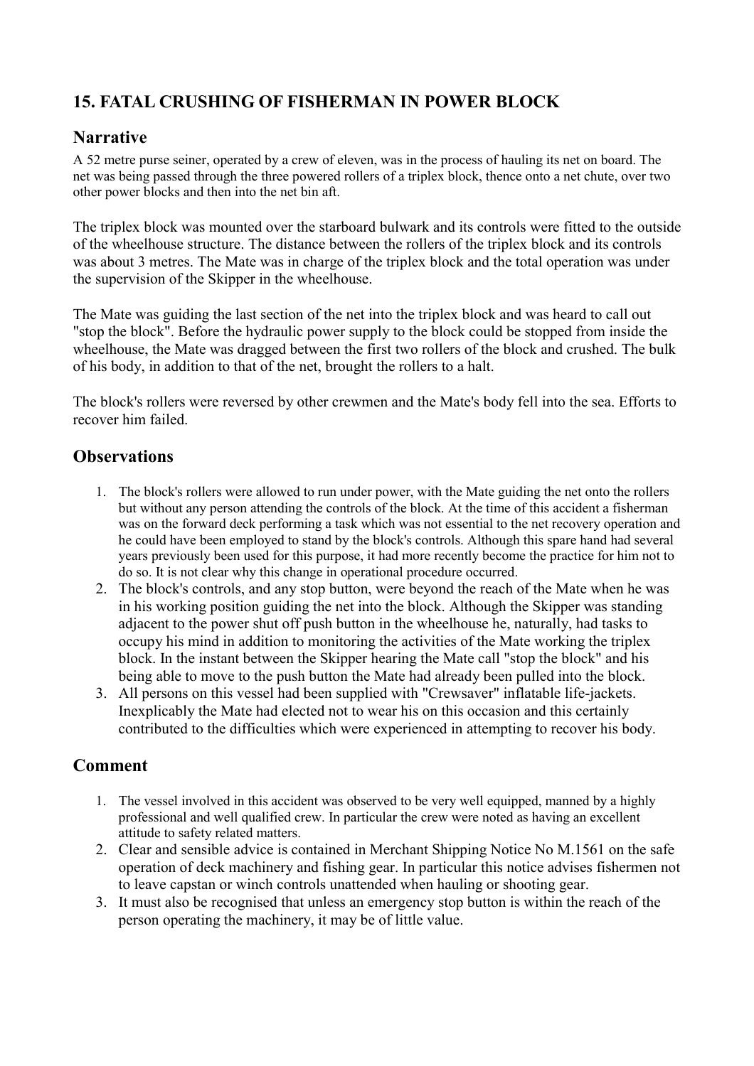# <span id="page-24-0"></span>**15. FATAL CRUSHING OF FISHERMAN IN POWER BLOCK**

# **Narrative**

A 52 metre purse seiner, operated by a crew of eleven, was in the process of hauling its net on board. The net was being passed through the three powered rollers of a triplex block, thence onto a net chute, over two other power blocks and then into the net bin aft.

The triplex block was mounted over the starboard bulwark and its controls were fitted to the outside of the wheelhouse structure. The distance between the rollers of the triplex block and its controls was about 3 metres. The Mate was in charge of the triplex block and the total operation was under the supervision of the Skipper in the wheelhouse.

The Mate was guiding the last section of the net into the triplex block and was heard to call out "stop the block". Before the hydraulic power supply to the block could be stopped from inside the wheelhouse, the Mate was dragged between the first two rollers of the block and crushed. The bulk of his body, in addition to that of the net, brought the rollers to a halt.

The block's rollers were reversed by other crewmen and the Mate's body fell into the sea. Efforts to recover him failed.

# **Observations**

- 1. The block's rollers were allowed to run under power, with the Mate guiding the net onto the rollers but without any person attending the controls of the block. At the time of this accident a fisherman was on the forward deck performing a task which was not essential to the net recovery operation and he could have been employed to stand by the block's controls. Although this spare hand had several years previously been used for this purpose, it had more recently become the practice for him not to do so. It is not clear why this change in operational procedure occurred.
- 2. The block's controls, and any stop button, were beyond the reach of the Mate when he was in his working position guiding the net into the block. Although the Skipper was standing adjacent to the power shut off push button in the wheelhouse he, naturally, had tasks to occupy his mind in addition to monitoring the activities of the Mate working the triplex block. In the instant between the Skipper hearing the Mate call "stop the block" and his being able to move to the push button the Mate had already been pulled into the block.
- 3. All persons on this vessel had been supplied with "Crewsaver" inflatable life-jackets. Inexplicably the Mate had elected not to wear his on this occasion and this certainly contributed to the difficulties which were experienced in attempting to recover his body.

- 1. The vessel involved in this accident was observed to be very well equipped, manned by a highly professional and well qualified crew. In particular the crew were noted as having an excellent attitude to safety related matters.
- 2. Clear and sensible advice is contained in Merchant Shipping Notice No M.1561 on the safe operation of deck machinery and fishing gear. In particular this notice advises fishermen not to leave capstan or winch controls unattended when hauling or shooting gear.
- 3. It must also be recognised that unless an emergency stop button is within the reach of the person operating the machinery, it may be of little value.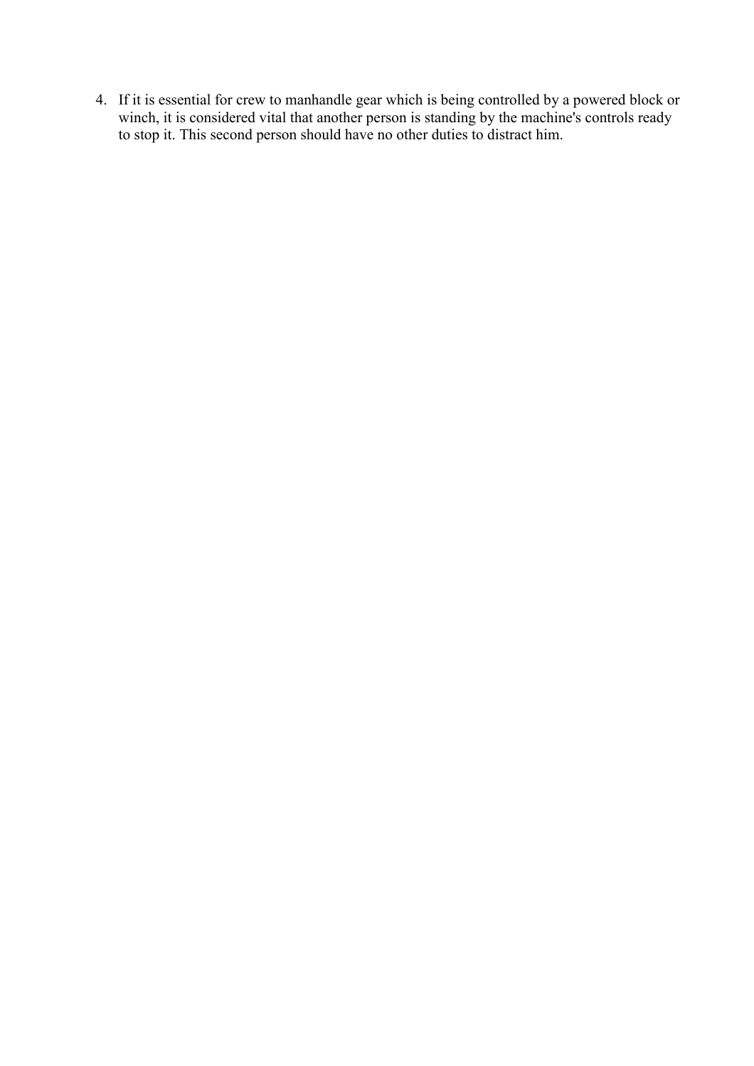4. If it is essential for crew to manhandle gear which is being controlled by a powered block or winch, it is considered vital that another person is standing by the machine's controls ready to stop it. This second person should have no other duties to distract him.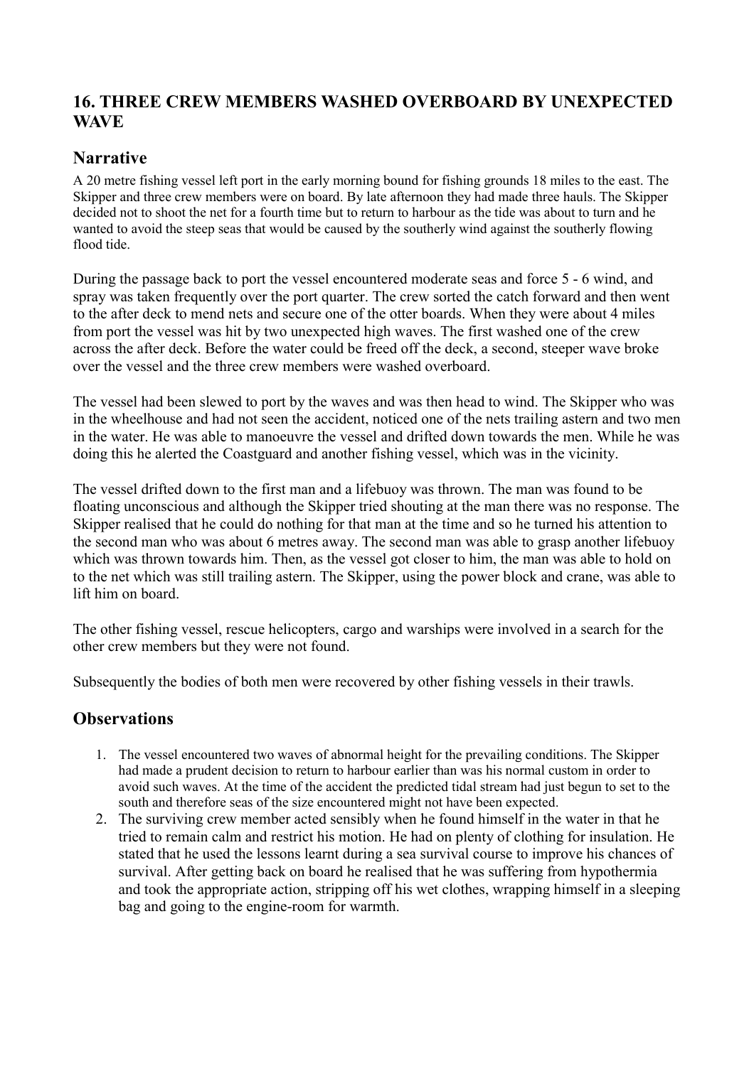# <span id="page-26-0"></span>**16. THREE CREW MEMBERS WASHED OVERBOARD BY UNEXPECTED WAVE**

# **Narrative**

A 20 metre fishing vessel left port in the early morning bound for fishing grounds 18 miles to the east. The Skipper and three crew members were on board. By late afternoon they had made three hauls. The Skipper decided not to shoot the net for a fourth time but to return to harbour as the tide was about to turn and he wanted to avoid the steep seas that would be caused by the southerly wind against the southerly flowing flood tide.

During the passage back to port the vessel encountered moderate seas and force 5 - 6 wind, and spray was taken frequently over the port quarter. The crew sorted the catch forward and then went to the after deck to mend nets and secure one of the otter boards. When they were about 4 miles from port the vessel was hit by two unexpected high waves. The first washed one of the crew across the after deck. Before the water could be freed off the deck, a second, steeper wave broke over the vessel and the three crew members were washed overboard.

The vessel had been slewed to port by the waves and was then head to wind. The Skipper who was in the wheelhouse and had not seen the accident, noticed one of the nets trailing astern and two men in the water. He was able to manoeuvre the vessel and drifted down towards the men. While he was doing this he alerted the Coastguard and another fishing vessel, which was in the vicinity.

The vessel drifted down to the first man and a lifebuoy was thrown. The man was found to be floating unconscious and although the Skipper tried shouting at the man there was no response. The Skipper realised that he could do nothing for that man at the time and so he turned his attention to the second man who was about 6 metres away. The second man was able to grasp another lifebuoy which was thrown towards him. Then, as the vessel got closer to him, the man was able to hold on to the net which was still trailing astern. The Skipper, using the power block and crane, was able to lift him on board.

The other fishing vessel, rescue helicopters, cargo and warships were involved in a search for the other crew members but they were not found.

Subsequently the bodies of both men were recovered by other fishing vessels in their trawls.

- 1. The vessel encountered two waves of abnormal height for the prevailing conditions. The Skipper had made a prudent decision to return to harbour earlier than was his normal custom in order to avoid such waves. At the time of the accident the predicted tidal stream had just begun to set to the south and therefore seas of the size encountered might not have been expected.
- 2. The surviving crew member acted sensibly when he found himself in the water in that he tried to remain calm and restrict his motion. He had on plenty of clothing for insulation. He stated that he used the lessons learnt during a sea survival course to improve his chances of survival. After getting back on board he realised that he was suffering from hypothermia and took the appropriate action, stripping off his wet clothes, wrapping himself in a sleeping bag and going to the engine-room for warmth.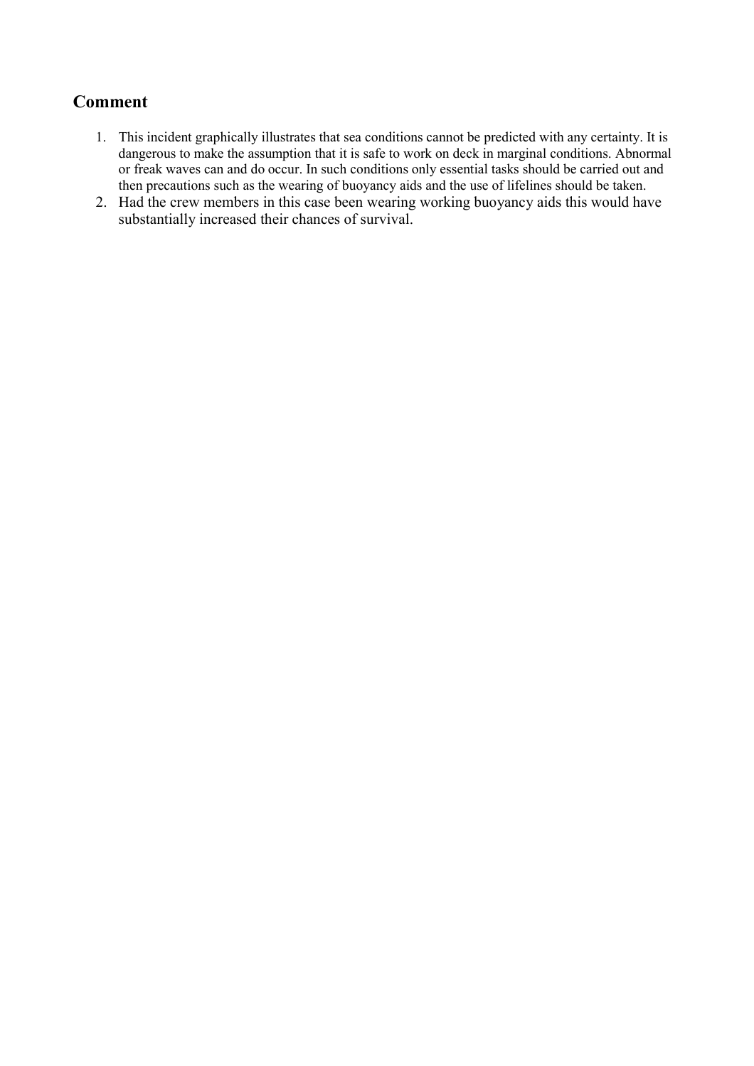- <span id="page-27-0"></span>1. This incident graphically illustrates that sea conditions cannot be predicted with any certainty. It is dangerous to make the assumption that it is safe to work on deck in marginal conditions. Abnormal or freak waves can and do occur. In such conditions only essential tasks should be carried out and then precautions such as the wearing of buoyancy aids and the use of lifelines should be taken.
- 2. Had the crew members in this case been wearing working buoyancy aids this would have substantially increased their chances of survival.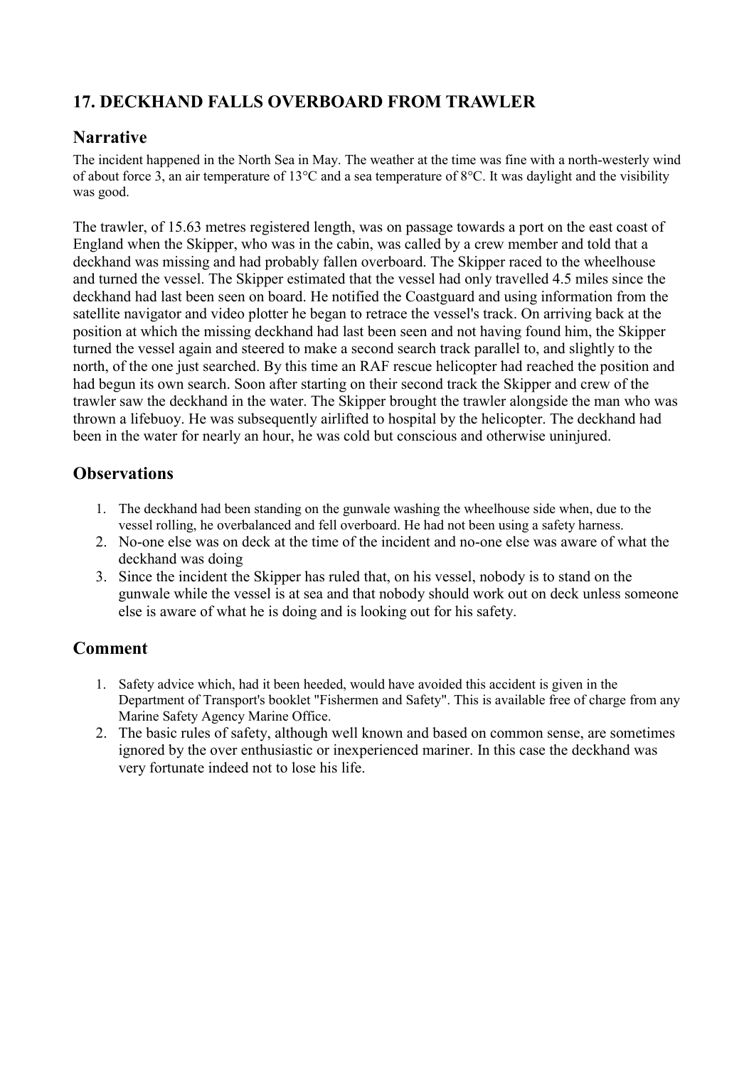# <span id="page-28-0"></span>**17. DECKHAND FALLS OVERBOARD FROM TRAWLER**

# **Narrative**

The incident happened in the North Sea in May. The weather at the time was fine with a north-westerly wind of about force 3, an air temperature of 13°C and a sea temperature of 8°C. It was daylight and the visibility was good.

The trawler, of 15.63 metres registered length, was on passage towards a port on the east coast of England when the Skipper, who was in the cabin, was called by a crew member and told that a deckhand was missing and had probably fallen overboard. The Skipper raced to the wheelhouse and turned the vessel. The Skipper estimated that the vessel had only travelled 4.5 miles since the deckhand had last been seen on board. He notified the Coastguard and using information from the satellite navigator and video plotter he began to retrace the vessel's track. On arriving back at the position at which the missing deckhand had last been seen and not having found him, the Skipper turned the vessel again and steered to make a second search track parallel to, and slightly to the north, of the one just searched. By this time an RAF rescue helicopter had reached the position and had begun its own search. Soon after starting on their second track the Skipper and crew of the trawler saw the deckhand in the water. The Skipper brought the trawler alongside the man who was thrown a lifebuoy. He was subsequently airlifted to hospital by the helicopter. The deckhand had been in the water for nearly an hour, he was cold but conscious and otherwise uninjured.

# **Observations**

- 1. The deckhand had been standing on the gunwale washing the wheelhouse side when, due to the vessel rolling, he overbalanced and fell overboard. He had not been using a safety harness.
- 2. No-one else was on deck at the time of the incident and no-one else was aware of what the deckhand was doing
- 3. Since the incident the Skipper has ruled that, on his vessel, nobody is to stand on the gunwale while the vessel is at sea and that nobody should work out on deck unless someone else is aware of what he is doing and is looking out for his safety.

- 1. Safety advice which, had it been heeded, would have avoided this accident is given in the Department of Transport's booklet "Fishermen and Safety". This is available free of charge from any Marine Safety Agency Marine Office.
- 2. The basic rules of safety, although well known and based on common sense, are sometimes ignored by the over enthusiastic or inexperienced mariner. In this case the deckhand was very fortunate indeed not to lose his life.